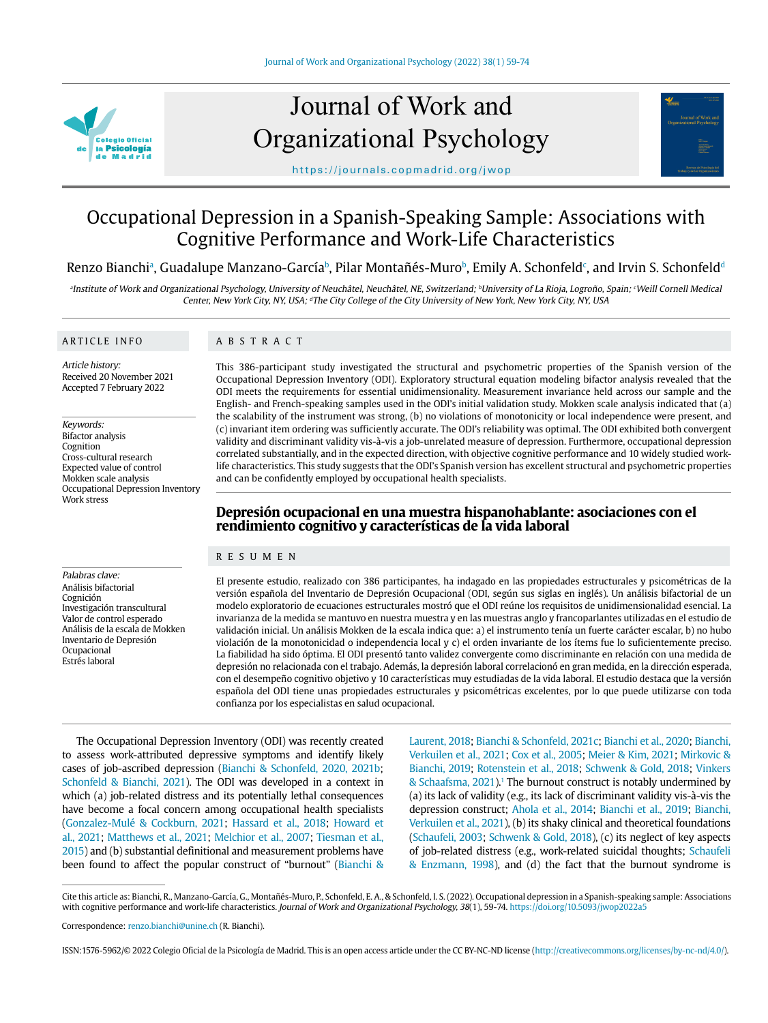

# Journal of Work and Organizational Psychology



https://journals.copmadrid.org/jwop

# Occupational Depression in a Spanish-Speaking Sample: Associations with Cognitive Performance and Work-Life Characteristics

# Renzo Bianchiª, Guadalupe Manzano-García<sup></sup>›, Pilar Montañés-Muro<sup>ь</sup>, Emily A. Schonfeld<sup>c</sup>, and Irvin S. Schonfeld<sup>a</sup>

aInstitute of Work and Organizational Psychology, University of Neuchâtel, Neuchâtel, NE, Switzerland; <sup>b</sup>University of La Rioja, Logroño, Spain; <sup>c</sup>Weill Cornell Medical Center, New York City, NY, USA; <sup>a</sup>The City College of the City University of New York, New York City, NY, USA

#### ARTICLE INFO

Palabras clave: Análisis bifactorial Cognición

Investigación transcultural Valor de control esperado Análisis de la escala de Mokken Inventario de Depresión Ocupacional Estrés laboral

#### ABSTRACT

Article history: Received 20 November 2021 Accepted 7 February 2022

Keywords: Bifactor analysis Cognition Cross-cultural research Expected value of control Mokken scale analysis Occupational Depression Inventory Work stress

This 386-participant study investigated the structural and psychometric properties of the Spanish version of the Occupational Depression Inventory (ODI). Exploratory structural equation modeling bifactor analysis revealed that the ODI meets the requirements for essential unidimensionality. Measurement invariance held across our sample and the English- and French-speaking samples used in the ODI's initial validation study. Mokken scale analysis indicated that (a) the scalability of the instrument was strong, (b) no violations of monotonicity or local independence were present, and (c) invariant item ordering was sufficiently accurate. The ODI's reliability was optimal. The ODI exhibited both convergent validity and discriminant validity vis-à-vis a job-unrelated measure of depression. Furthermore, occupational depression correlated substantially, and in the expected direction, with objective cognitive performance and 10 widely studied worklife characteristics. This study suggests that the ODI's Spanish version has excellent structural and psychometric properties and can be confidently employed by occupational health specialists.

# **Depresión ocupacional en una muestra hispanohablante: asociaciones con el rendimiento cognitivo y características de la vida laboral**

#### RESUMEN

El presente estudio, realizado con 386 participantes, ha indagado en las propiedades estructurales y psicométricas de la versión española del Inventario de Depresión Ocupacional (ODI, según sus siglas en inglés). Un análisis bifactorial de un modelo exploratorio de ecuaciones estructurales mostró que el ODI reúne los requisitos de unidimensionalidad esencial. La invarianza de la medida se mantuvo en nuestra muestra y en las muestras anglo y francoparlantes utilizadas en el estudio de validación inicial. Un análisis Mokken de la escala indica que: a) el instrumento tenía un fuerte carácter escalar, b) no hubo violación de la monotonicidad o independencia local y c) el orden invariante de los ítems fue lo suficientemente preciso. La fiabilidad ha sido óptima. El ODI presentó tanto validez convergente como discriminante en relación con una medida de depresión no relacionada con el trabajo. Además, la depresión laboral correlacionó en gran medida, en la dirección esperada, con el desempeño cognitivo objetivo y 10 características muy estudiadas de la vida laboral. El estudio destaca que la versión española del ODI tiene unas propiedades estructurales y psicométricas excelentes, por lo que puede utilizarse con toda confianza por los especialistas en salud ocupacional.

The Occupational Depression Inventory (ODI) was recently created to assess work-attributed depressive symptoms and identify likely cases of job-ascribed depression (Bianchi & Schonfeld, 2020, 2021b; Schonfeld & Bianchi, 2021). The ODI was developed in a context in which (a) job-related distress and its potentially lethal consequences have become a focal concern among occupational health specialists (Gonzalez-Mulé & Cockburn, 2021; Hassard et al., 2018; Howard et al., 2021; Matthews et al., 2021; Melchior et al., 2007; Tiesman et al., 2015) and (b) substantial definitional and measurement problems have been found to affect the popular construct of "burnout" (Bianchi &

Laurent, 2018; Bianchi & Schonfeld, 2021c; Bianchi et al., 2020; Bianchi, Verkuilen et al., 2021; Cox et al., 2005; Meier & Kim, 2021; Mirkovic & Bianchi, 2019; Rotenstein et al., 2018; Schwenk & Gold, 2018; Vinkers & Schaafsma, 2021).<sup>1</sup> The burnout construct is notably undermined by (a) its lack of validity (e.g., its lack of discriminant validity vis-à-vis the depression construct; Ahola et al., 2014; Bianchi et al., 2019; Bianchi, Verkuilen et al., 2021), (b) its shaky clinical and theoretical foundations (Schaufeli, 2003; Schwenk & Gold, 2018), (c) its neglect of key aspects of job-related distress (e.g., work-related suicidal thoughts; Schaufeli & Enzmann, 1998), and (d) the fact that the burnout syndrome is

Cite this article as: Bianchi, R., Manzano-García, G., Montañés-Muro, P., Schonfeld, E. A., & Schonfeld, I. S. (2022). Occupational depression in a Spanish-speaking sample: Associations with cognitive performance and work-life characteristics. Journal of Work and Organizational Psychology, 38(1), 59-74. https://doi.org/10.5093/jwop2022a5

Correspondence: renzo.bianchi@unine.ch (R. Bianchi).

ISSN:1576-5962/© 2022 Colegio Oficial de la Psicología de Madrid. This is an open access article under the CC BY-NC-ND license (http://creativecommons.org/licenses/by-nc-nd/4.0/).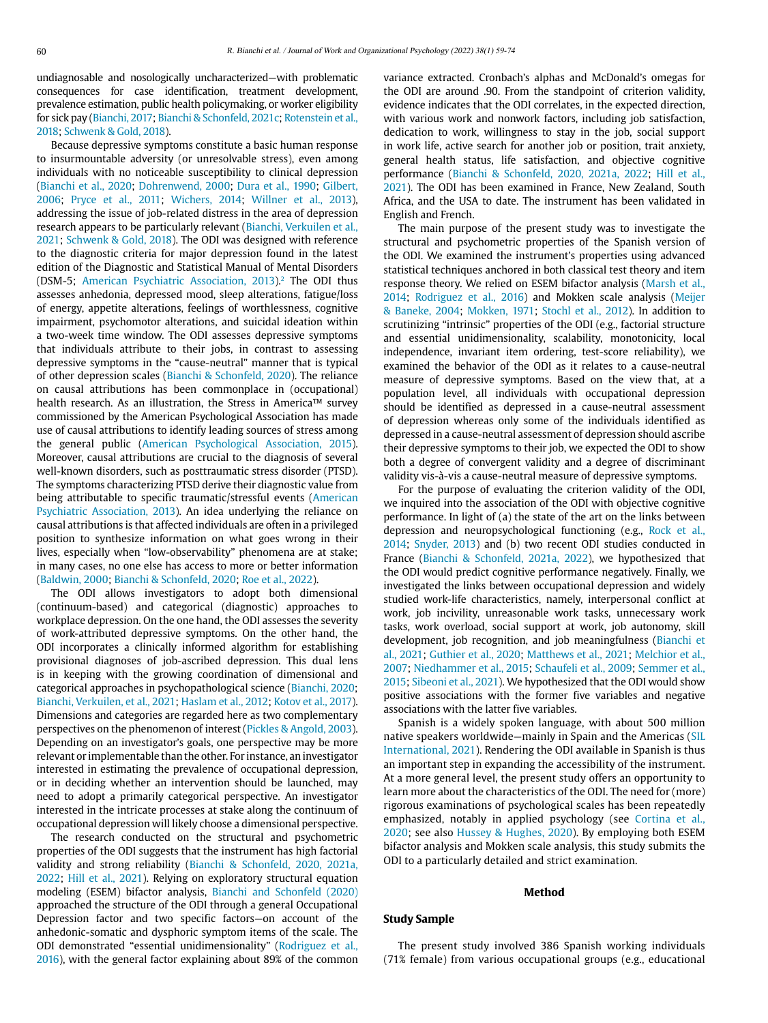undiagnosable and nosologically uncharacterized—with problematic consequences for case identification, treatment development, prevalence estimation, public health policymaking, or worker eligibility for sick pay (Bianchi, 2017; Bianchi & Schonfeld, 2021c; Rotenstein et al., 2018; Schwenk & Gold, 2018).

Because depressive symptoms constitute a basic human response to insurmountable adversity (or unresolvable stress), even among individuals with no noticeable susceptibility to clinical depression (Bianchi et al., 2020; Dohrenwend, 2000; Dura et al., 1990; Gilbert, 2006; Pryce et al., 2011; Wichers, 2014; Willner et al., 2013), addressing the issue of job-related distress in the area of depression research appears to be particularly relevant (Bianchi, Verkuilen et al., 2021; Schwenk & Gold, 2018). The ODI was designed with reference to the diagnostic criteria for major depression found in the latest edition of the Diagnostic and Statistical Manual of Mental Disorders (DSM-5; American Psychiatric Association, 2013).<sup>2</sup> The ODI thus assesses anhedonia, depressed mood, sleep alterations, fatigue/loss of energy, appetite alterations, feelings of worthlessness, cognitive impairment, psychomotor alterations, and suicidal ideation within a two-week time window. The ODI assesses depressive symptoms that individuals attribute to their jobs, in contrast to assessing depressive symptoms in the "cause-neutral" manner that is typical of other depression scales (Bianchi & Schonfeld, 2020). The reliance on causal attributions has been commonplace in (occupational) health research. As an illustration, the Stress in America™ survey commissioned by the American Psychological Association has made use of causal attributions to identify leading sources of stress among the general public (American Psychological Association, 2015). Moreover, causal attributions are crucial to the diagnosis of several well-known disorders, such as posttraumatic stress disorder (PTSD). The symptoms characterizing PTSD derive their diagnostic value from being attributable to specific traumatic/stressful events (American Psychiatric Association, 2013). An idea underlying the reliance on causal attributions is that affected individuals are often in a privileged position to synthesize information on what goes wrong in their lives, especially when "low-observability" phenomena are at stake; in many cases, no one else has access to more or better information (Baldwin, 2000; Bianchi & Schonfeld, 2020; Roe et al., 2022).

The ODI allows investigators to adopt both dimensional (continuum-based) and categorical (diagnostic) approaches to workplace depression. On the one hand, the ODI assesses the severity of work-attributed depressive symptoms. On the other hand, the ODI incorporates a clinically informed algorithm for establishing provisional diagnoses of job-ascribed depression. This dual lens is in keeping with the growing coordination of dimensional and categorical approaches in psychopathological science (Bianchi, 2020; Bianchi, Verkuilen, et al., 2021; Haslam et al., 2012; Kotov et al., 2017). Dimensions and categories are regarded here as two complementary perspectives on the phenomenon of interest (Pickles & Angold, 2003). Depending on an investigator's goals, one perspective may be more relevant or implementable than the other. For instance, an investigator interested in estimating the prevalence of occupational depression, or in deciding whether an intervention should be launched, may need to adopt a primarily categorical perspective. An investigator interested in the intricate processes at stake along the continuum of occupational depression will likely choose a dimensional perspective.

The research conducted on the structural and psychometric properties of the ODI suggests that the instrument has high factorial validity and strong reliability (Bianchi & Schonfeld, 2020, 2021a, 2022; Hill et al., 2021). Relying on exploratory structural equation modeling (ESEM) bifactor analysis, Bianchi and Schonfeld (2020) approached the structure of the ODI through a general Occupational Depression factor and two specific factors—on account of the anhedonic-somatic and dysphoric symptom items of the scale. The ODI demonstrated "essential unidimensionality" (Rodriguez et al., 2016), with the general factor explaining about 89% of the common variance extracted. Cronbach's alphas and McDonald's omegas for the ODI are around .90. From the standpoint of criterion validity, evidence indicates that the ODI correlates, in the expected direction, with various work and nonwork factors, including job satisfaction, dedication to work, willingness to stay in the job, social support in work life, active search for another job or position, trait anxiety, general health status, life satisfaction, and objective cognitive performance (Bianchi & Schonfeld, 2020, 2021a, 2022; Hill et al., 2021). The ODI has been examined in France, New Zealand, South Africa, and the USA to date. The instrument has been validated in English and French.

The main purpose of the present study was to investigate the structural and psychometric properties of the Spanish version of the ODI. We examined the instrument's properties using advanced statistical techniques anchored in both classical test theory and item response theory. We relied on ESEM bifactor analysis (Marsh et al., 2014; Rodriguez et al., 2016) and Mokken scale analysis (Meijer & Baneke, 2004; Mokken, 1971; Stochl et al., 2012). In addition to scrutinizing "intrinsic" properties of the ODI (e.g., factorial structure and essential unidimensionality, scalability, monotonicity, local independence, invariant item ordering, test-score reliability), we examined the behavior of the ODI as it relates to a cause-neutral measure of depressive symptoms. Based on the view that, at a population level, all individuals with occupational depression should be identified as depressed in a cause-neutral assessment of depression whereas only some of the individuals identified as depressed in a cause-neutral assessment of depression should ascribe their depressive symptoms to their job, we expected the ODI to show both a degree of convergent validity and a degree of discriminant validity vis-à-vis a cause-neutral measure of depressive symptoms.

For the purpose of evaluating the criterion validity of the ODI, we inquired into the association of the ODI with objective cognitive performance. In light of (a) the state of the art on the links between depression and neuropsychological functioning (e.g., Rock et al., 2014; Snyder, 2013) and (b) two recent ODI studies conducted in France (Bianchi & Schonfeld, 2021a, 2022), we hypothesized that the ODI would predict cognitive performance negatively. Finally, we investigated the links between occupational depression and widely studied work-life characteristics, namely, interpersonal conflict at work, job incivility, unreasonable work tasks, unnecessary work tasks, work overload, social support at work, job autonomy, skill development, job recognition, and job meaningfulness (Bianchi et al., 2021; Guthier et al., 2020; Matthews et al., 2021; Melchior et al., 2007; Niedhammer et al., 2015; Schaufeli et al., 2009; Semmer et al., 2015; Sibeoni et al., 2021). We hypothesized that the ODI would show positive associations with the former five variables and negative associations with the latter five variables.

Spanish is a widely spoken language, with about 500 million native speakers worldwide—mainly in Spain and the Americas (SIL International, 2021). Rendering the ODI available in Spanish is thus an important step in expanding the accessibility of the instrument. At a more general level, the present study offers an opportunity to learn more about the characteristics of the ODI. The need for (more) rigorous examinations of psychological scales has been repeatedly emphasized, notably in applied psychology (see Cortina et al., 2020; see also Hussey & Hughes, 2020). By employing both ESEM bifactor analysis and Mokken scale analysis, this study submits the ODI to a particularly detailed and strict examination.

#### **Method**

#### **Study Sample**

The present study involved 386 Spanish working individuals (71% female) from various occupational groups (e.g., educational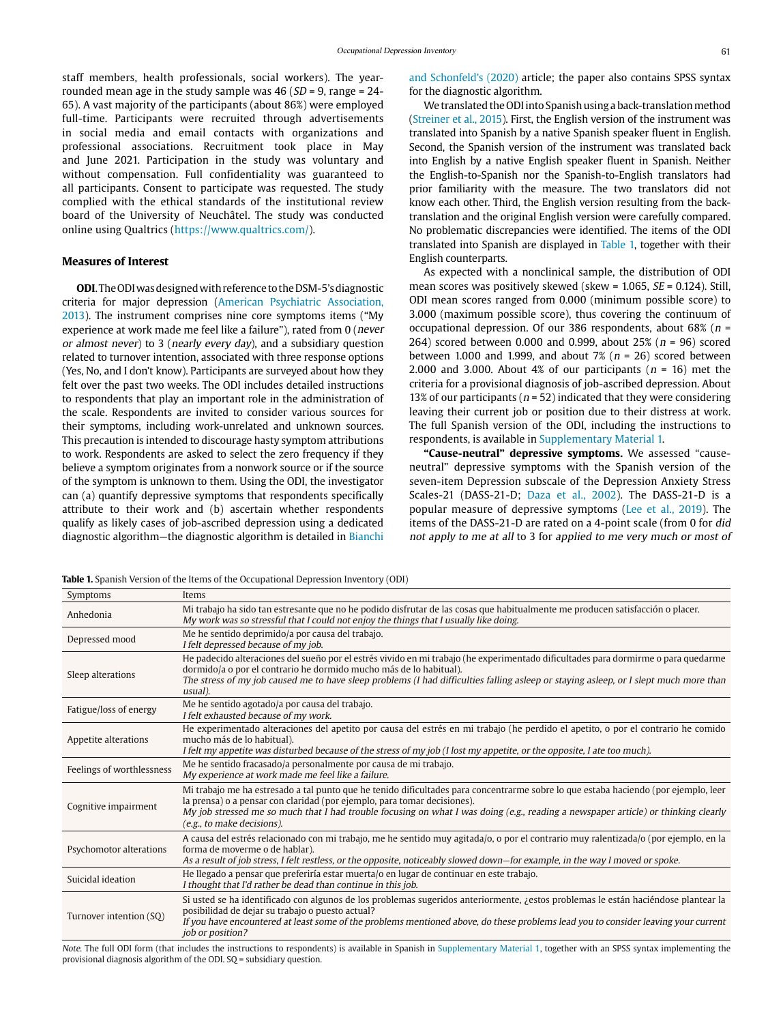staff members, health professionals, social workers). The yearrounded mean age in the study sample was  $46$  ( $SD = 9$ , range = 24-65). A vast majority of the participants (about 86%) were employed full-time. Participants were recruited through advertisements in social media and email contacts with organizations and professional associations. Recruitment took place in May and June 2021. Participation in the study was voluntary and without compensation. Full confidentiality was guaranteed to all participants. Consent to participate was requested. The study complied with the ethical standards of the institutional review board of the University of Neuchâtel. The study was conducted online using Qualtrics [\(https://www.qualtrics.com/\)](https://www.qualtrics.com/).

#### **Measures of Interest**

**ODI**. The ODI was designed with reference to the DSM-5's diagnostic criteria for major depression (American Psychiatric Association, 2013). The instrument comprises nine core symptoms items ("My experience at work made me feel like a failure"), rated from 0 (never or almost never) to 3 (nearly every day), and a subsidiary question related to turnover intention, associated with three response options (Yes, No, and I don't know). Participants are surveyed about how they felt over the past two weeks. The ODI includes detailed instructions to respondents that play an important role in the administration of the scale. Respondents are invited to consider various sources for their symptoms, including work-unrelated and unknown sources. This precaution is intended to discourage hasty symptom attributions to work. Respondents are asked to select the zero frequency if they believe a symptom originates from a nonwork source or if the source of the symptom is unknown to them. Using the ODI, the investigator can (a) quantify depressive symptoms that respondents specifically attribute to their work and (b) ascertain whether respondents qualify as likely cases of job-ascribed depression using a dedicated diagnostic algorithm—the diagnostic algorithm is detailed in Bianchi and Schonfeld's (2020) article; the paper also contains SPSS syntax for the diagnostic algorithm.

We translated the ODI into Spanish using a back-translation method (Streiner et al., 2015). First, the English version of the instrument was translated into Spanish by a native Spanish speaker fluent in English. Second, the Spanish version of the instrument was translated back into English by a native English speaker fluent in Spanish. Neither the English-to-Spanish nor the Spanish-to-English translators had prior familiarity with the measure. The two translators did not know each other. Third, the English version resulting from the backtranslation and the original English version were carefully compared. No problematic discrepancies were identified. The items of the ODI translated into Spanish are displayed in Table 1, together with their English counterparts.

As expected with a nonclinical sample, the distribution of ODI mean scores was positively skewed (skew =  $1.065$ ,  $SE = 0.124$ ). Still, ODI mean scores ranged from 0.000 (minimum possible score) to 3.000 (maximum possible score), thus covering the continuum of occupational depression. Of our 386 respondents, about 68% ( $n =$ 264) scored between 0.000 and 0.999, about 25% ( $n = 96$ ) scored between 1.000 and 1.999, and about 7% ( $n = 26$ ) scored between 2.000 and 3.000. About 4% of our participants ( $n = 16$ ) met the criteria for a provisional diagnosis of job-ascribed depression. About 13% of our participants ( $n = 52$ ) indicated that they were considering leaving their current job or position due to their distress at work. The full Spanish version of the ODI, including the instructions to respondents, is available in Supplementary Material 1.

**"Cause-neutral" depressive symptoms.** We assessed "causeneutral" depressive symptoms with the Spanish version of the seven-item Depression subscale of the Depression Anxiety Stress Scales-21 (DASS-21-D; Daza et al., 2002). The DASS-21-D is a popular measure of depressive symptoms (Lee et al., 2019). The items of the DASS-21-D are rated on a 4-point scale (from 0 for did not apply to me at all to 3 for applied to me very much or most of

|  |  |  | <b>Table 1.</b> Spanish Version of the Items of the Occupational Depression Inventory (ODI) |  |
|--|--|--|---------------------------------------------------------------------------------------------|--|
|  |  |  |                                                                                             |  |

| Symptoms                  | Items                                                                                                                                                                                                                                                                                                                                                                               |
|---------------------------|-------------------------------------------------------------------------------------------------------------------------------------------------------------------------------------------------------------------------------------------------------------------------------------------------------------------------------------------------------------------------------------|
| Anhedonia                 | Mi trabajo ha sido tan estresante que no he podido disfrutar de las cosas que habitualmente me producen satisfacción o placer.<br>My work was so stressful that I could not enjoy the things that I usually like doing.                                                                                                                                                             |
| Depressed mood            | Me he sentido deprimido/a por causa del trabajo.<br>I felt depressed because of my job.                                                                                                                                                                                                                                                                                             |
| Sleep alterations         | He padecido alteraciones del sueño por el estrés vivido en mi trabajo (he experimentado dificultades para dormirme o para quedarme<br>dormido/a o por el contrario he dormido mucho más de lo habitual).<br>The stress of my job caused me to have sleep problems (I had difficulties falling asleep or staying asleep, or I slept much more than<br>usual).                        |
| Fatigue/loss of energy    | Me he sentido agotado/a por causa del trabajo.<br>I felt exhausted because of my work.                                                                                                                                                                                                                                                                                              |
| Appetite alterations      | He experimentado alteraciones del apetito por causa del estrés en mi trabajo (he perdido el apetito, o por el contrario he comido<br>mucho más de lo habitual).<br>I felt my appetite was disturbed because of the stress of my job (I lost my appetite, or the opposite, I ate too much).                                                                                          |
| Feelings of worthlessness | Me he sentido fracasado/a personalmente por causa de mi trabajo.<br>My experience at work made me feel like a failure.                                                                                                                                                                                                                                                              |
| Cognitive impairment      | Mi trabajo me ha estresado a tal punto que he tenido dificultades para concentrarme sobre lo que estaba haciendo (por ejemplo, leer<br>la prensa) o a pensar con claridad (por ejemplo, para tomar decisiones).<br>My job stressed me so much that I had trouble focusing on what I was doing (e.g., reading a newspaper article) or thinking clearly<br>(e.g., to make decisions). |
| Psychomotor alterations   | A causa del estrés relacionado con mi trabajo, me he sentido muy agitada/o, o por el contrario muy ralentizada/o (por ejemplo, en la<br>forma de moverme o de hablar).<br>As a result of job stress, I felt restless, or the opposite, noticeably slowed down—for example, in the way I moved or spoke.                                                                             |
| Suicidal ideation         | He llegado a pensar que preferiría estar muerta/o en lugar de continuar en este trabajo.<br>I thought that I'd rather be dead than continue in this job.                                                                                                                                                                                                                            |
| Turnover intention (SQ)   | Si usted se ha identificado con algunos de los problemas sugeridos anteriormente, <i>i</i> estos problemas le están haciéndose plantear la<br>posibilidad de dejar su trabajo o puesto actual?<br>If you have encountered at least some of the problems mentioned above, do these problems lead you to consider leaving your current<br><i>job or position?</i>                     |

Note. The full ODI form (that includes the instructions to respondents) is available in Spanish in Supplementary Material 1, together with an SPSS syntax implementing the provisional diagnosis algorithm of the ODI. SQ = subsidiary question.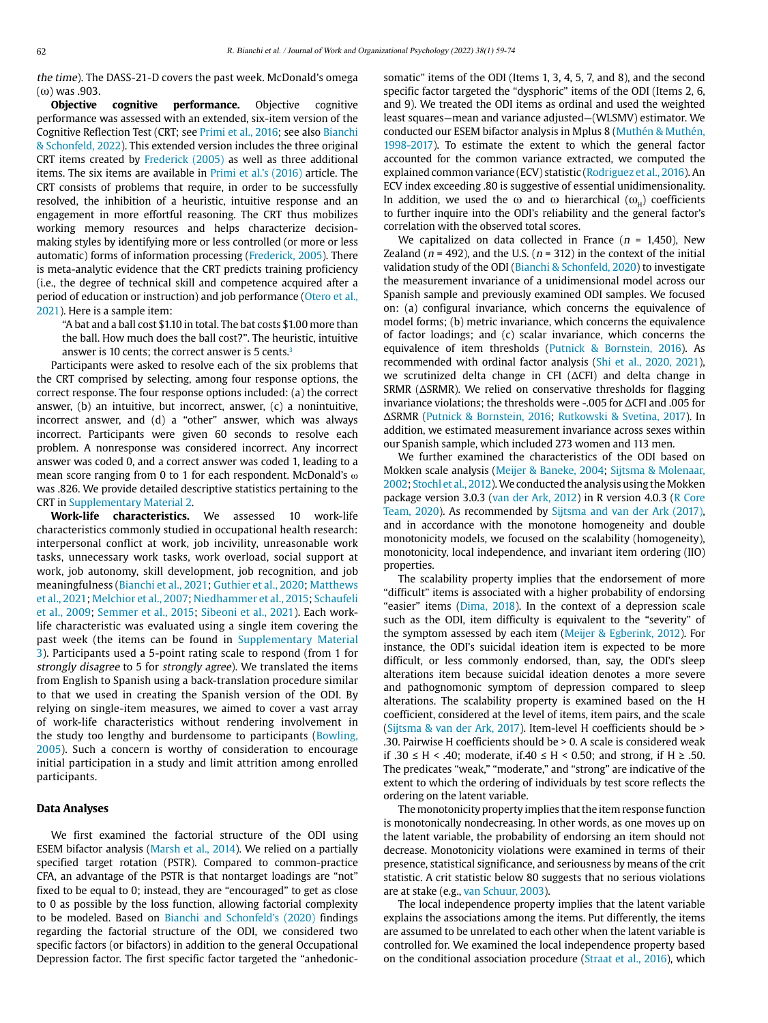the time). The DASS-21-D covers the past week. McDonald's omega (ω) was .903.

**Objective cognitive performance.** Objective cognitive performance was assessed with an extended, six-item version of the Cognitive Reflection Test (CRT; see Primi et al., 2016; see also Bianchi & Schonfeld, 2022). This extended version includes the three original CRT items created by Frederick (2005) as well as three additional items. The six items are available in Primi et al.'s (2016) article. The CRT consists of problems that require, in order to be successfully resolved, the inhibition of a heuristic, intuitive response and an engagement in more effortful reasoning. The CRT thus mobilizes working memory resources and helps characterize decisionmaking styles by identifying more or less controlled (or more or less automatic) forms of information processing (Frederick, 2005). There is meta-analytic evidence that the CRT predicts training proficiency (i.e., the degree of technical skill and competence acquired after a period of education or instruction) and job performance (Otero et al., 2021). Here is a sample item:

"A bat and a ball cost \$1.10 in total. The bat costs \$1.00 more than the ball. How much does the ball cost?". The heuristic, intuitive answer is 10 cents; the correct answer is 5 cents.3

Participants were asked to resolve each of the six problems that the CRT comprised by selecting, among four response options, the correct response. The four response options included: (a) the correct answer, (b) an intuitive, but incorrect, answer, (c) a nonintuitive, incorrect answer, and (d) a "other" answer, which was always incorrect. Participants were given 60 seconds to resolve each problem. A nonresponse was considered incorrect. Any incorrect answer was coded 0, and a correct answer was coded 1, leading to a mean score ranging from 0 to 1 for each respondent. McDonald's ω was .826. We provide detailed descriptive statistics pertaining to the CRT in Supplementary Material 2.

**Work-life characteristics.** We assessed 10 work-life characteristics commonly studied in occupational health research: interpersonal conflict at work, job incivility, unreasonable work tasks, unnecessary work tasks, work overload, social support at work, job autonomy, skill development, job recognition, and job meaningfulness (Bianchi et al., 2021; Guthier et al., 2020; Matthews et al., 2021; Melchior et al., 2007; Niedhammer et al., 2015; Schaufeli et al., 2009; Semmer et al., 2015; Sibeoni et al., 2021). Each worklife characteristic was evaluated using a single item covering the past week (the items can be found in Supplementary Material 3). Participants used a 5-point rating scale to respond (from 1 for strongly disagree to 5 for strongly agree). We translated the items from English to Spanish using a back-translation procedure similar to that we used in creating the Spanish version of the ODI. By relying on single-item measures, we aimed to cover a vast array of work-life characteristics without rendering involvement in the study too lengthy and burdensome to participants (Bowling, 2005). Such a concern is worthy of consideration to encourage initial participation in a study and limit attrition among enrolled participants.

#### **Data Analyses**

We first examined the factorial structure of the ODI using ESEM bifactor analysis (Marsh et al., 2014). We relied on a partially specified target rotation (PSTR). Compared to common-practice CFA, an advantage of the PSTR is that nontarget loadings are "not" fixed to be equal to 0; instead, they are "encouraged" to get as close to 0 as possible by the loss function, allowing factorial complexity to be modeled. Based on Bianchi and Schonfeld's (2020) findings regarding the factorial structure of the ODI, we considered two specific factors (or bifactors) in addition to the general Occupational Depression factor. The first specific factor targeted the "anhedonicsomatic" items of the ODI (Items 1, 3, 4, 5, 7, and 8), and the second specific factor targeted the "dysphoric" items of the ODI (Items 2, 6, and 9). We treated the ODI items as ordinal and used the weighted least squares—mean and variance adjusted—(WLSMV) estimator. We conducted our ESEM bifactor analysis in Mplus 8 (Muthén & Muthén, 1998-2017). To estimate the extent to which the general factor accounted for the common variance extracted, we computed the explained common variance (ECV) statistic (Rodriguez et al., 2016). An ECV index exceeding .80 is suggestive of essential unidimensionality. In addition, we used the ω and ω hierarchical  $(ω_θ)$  coefficients to further inquire into the ODI's reliability and the general factor's correlation with the observed total scores.

We capitalized on data collected in France ( $n = 1,450$ ), New Zealand ( $n = 492$ ), and the U.S. ( $n = 312$ ) in the context of the initial validation study of the ODI (Bianchi & Schonfeld, 2020) to investigate the measurement invariance of a unidimensional model across our Spanish sample and previously examined ODI samples. We focused on: (a) configural invariance, which concerns the equivalence of model forms; (b) metric invariance, which concerns the equivalence of factor loadings; and (c) scalar invariance, which concerns the equivalence of item thresholds (Putnick & Bornstein, 2016). As recommended with ordinal factor analysis (Shi et al., 2020, 2021), we scrutinized delta change in CFI (ΔCFI) and delta change in SRMR (ΔSRMR). We relied on conservative thresholds for flagging invariance violations; the thresholds were -.005 for ΔCFI and .005 for ΔSRMR (Putnick & Bornstein, 2016; Rutkowski & Svetina, 2017). In addition, we estimated measurement invariance across sexes within our Spanish sample, which included 273 women and 113 men.

We further examined the characteristics of the ODI based on Mokken scale analysis (Meijer & Baneke, 2004; Sijtsma & Molenaar, 2002; Stochl et al., 2012). We conducted the analysis using the Mokken package version 3.0.3 (van der Ark, 2012) in R version 4.0.3 (R Core Team, 2020). As recommended by Sijtsma and van der Ark (2017), and in accordance with the monotone homogeneity and double monotonicity models, we focused on the scalability (homogeneity), monotonicity, local independence, and invariant item ordering (IIO) properties.

The scalability property implies that the endorsement of more "difficult" items is associated with a higher probability of endorsing "easier" items (Dima, 2018). In the context of a depression scale such as the ODI, item difficulty is equivalent to the "severity" of the symptom assessed by each item (Meijer & Egberink, 2012). For instance, the ODI's suicidal ideation item is expected to be more difficult, or less commonly endorsed, than, say, the ODI's sleep alterations item because suicidal ideation denotes a more severe and pathognomonic symptom of depression compared to sleep alterations. The scalability property is examined based on the H coefficient, considered at the level of items, item pairs, and the scale (Sijtsma & van der Ark, 2017). Item-level H coefficients should be > .30. Pairwise H coefficients should be > 0. A scale is considered weak if .30 ≤ H < .40; moderate, if.40 ≤ H < 0.50; and strong, if H ≥ .50. The predicates "weak," "moderate," and "strong" are indicative of the extent to which the ordering of individuals by test score reflects the ordering on the latent variable.

The monotonicity property implies that the item response function is monotonically nondecreasing. In other words, as one moves up on the latent variable, the probability of endorsing an item should not decrease. Monotonicity violations were examined in terms of their presence, statistical significance, and seriousness by means of the crit statistic. A crit statistic below 80 suggests that no serious violations are at stake (e.g., van Schuur, 2003).

The local independence property implies that the latent variable explains the associations among the items. Put differently, the items are assumed to be unrelated to each other when the latent variable is controlled for. We examined the local independence property based on the conditional association procedure (Straat et al., 2016), which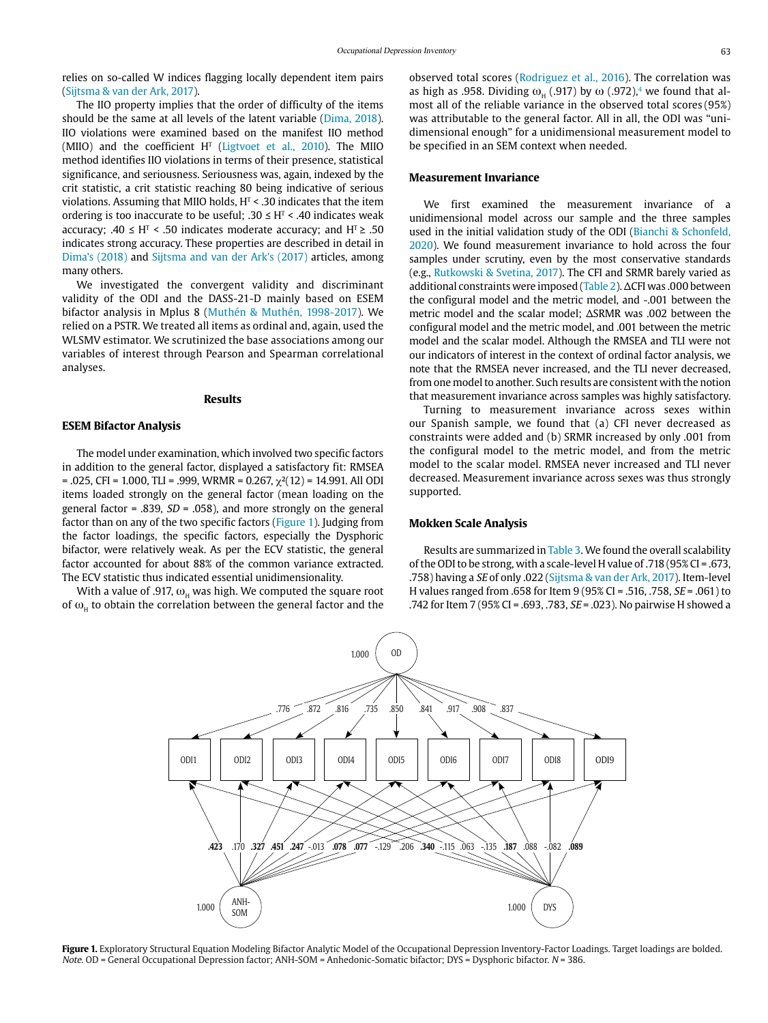relies on so-called W indices flagging locally dependent item pairs (Sijtsma & van der Ark, 2017).

The IIO property implies that the order of difficulty of the items should be the same at all levels of the latent variable (Dima, 2018). IIO violations were examined based on the manifest IIO method (MIIO) and the coefficient  $H<sup>T</sup>$  (Ligtvoet et al., 2010). The MIIO method identifies IIO violations in terms of their presence, statistical significance, and seriousness. Seriousness was, again, indexed by the crit statistic, a crit statistic reaching 80 being indicative of serious violations. Assuming that MIIO holds, H<sup>T</sup> < .30 indicates that the item ordering is too inaccurate to be useful;  $.30 \leq H<sup>T</sup> < .40$  indicates weak accuracy;  $.40 \leq H<sup>T</sup> < .50$  indicates moderate accuracy; and  $H<sup>T</sup> \geq .50$ indicates strong accuracy. These properties are described in detail in Dima's (2018) and Sijtsma and van der Ark's (2017) articles, among many others.

We investigated the convergent validity and discriminant validity of the ODI and the DASS-21-D mainly based on ESEM bifactor analysis in Mplus 8 (Muthén & Muthén, 1998-2017). We relied on a PSTR. We treated all items as ordinal and, again, used the WLSMV estimator. We scrutinized the base associations among our variables of interest through Pearson and Spearman correlational analyses.

#### **Results**

### **ESEM Bifactor Analysis**

The model under examination, which involved two specific factors in addition to the general factor, displayed a satisfactory fit: RMSEA  $= .025$ , CFI = 1.000, TLI = .999, WRMR = 0.267,  $\chi^2(12) = 14.991$ . All ODI items loaded strongly on the general factor (mean loading on the general factor = .839,  $SD = .058$ ), and more strongly on the general factor than on any of the two specific factors (Figure 1). Judging from the factor loadings, the specific factors, especially the Dysphoric bifactor, were relatively weak. As per the ECV statistic, the general factor accounted for about 88% of the common variance extracted. The ECV statistic thus indicated essential unidimensionality.

With a value of .917,  $\omega_{\rm H}$  was high. We computed the square root of  $\omega_H$  to obtain the correlation between the general factor and the observed total scores (Rodriguez et al., 2016). The correlation was as high as .958. Dividing  $\omega_{\rm H}$  (.917) by  $\omega$  (.972),<sup>4</sup> we found that almost all of the reliable variance in the observed total scores (95%) was attributable to the general factor. All in all, the ODI was "unidimensional enough" for a unidimensional measurement model to be specified in an SEM context when needed.

#### **Measurement Invariance**

We first examined the measurement invariance of a unidimensional model across our sample and the three samples used in the initial validation study of the ODI (Bianchi & Schonfeld, 2020). We found measurement invariance to hold across the four samples under scrutiny, even by the most conservative standards (e.g., Rutkowski & Svetina, 2017). The CFI and SRMR barely varied as additional constraints were imposed (Table 2). ΔCFI was .000 between the configural model and the metric model, and -.001 between the metric model and the scalar model; ΔSRMR was .002 between the configural model and the metric model, and .001 between the metric model and the scalar model. Although the RMSEA and TLI were not our indicators of interest in the context of ordinal factor analysis, we note that the RMSEA never increased, and the TLI never decreased, from one model to another. Such results are consistent with the notion that measurement invariance across samples was highly satisfactory.

Turning to measurement invariance across sexes within our Spanish sample, we found that (a) CFI never decreased as constraints were added and (b) SRMR increased by only .001 from the configural model to the metric model, and from the metric model to the scalar model. RMSEA never increased and TLI never decreased. Measurement invariance across sexes was thus strongly supported.

#### **Mokken Scale Analysis**

Results are summarized in Table 3. We found the overall scalability of the ODI to be strong, with a scale-level H value of .718 (95% CI = .673, .758) having a SE of only .022 (Sijtsma & van der Ark, 2017). Item-level H values ranged from .658 for Item 9 (95% CI = .516, .758, SE = .061) to .742 for Item 7 (95% CI = .693, .783, SE = .023). No pairwise H showed a



Figure 1. Exploratory Structural Equation Modeling Bifactor Analytic Model of the Occupational Depression Inventory-Factor Loadings. Target loadings are bolded. Note. OD = General Occupational Depression factor; ANH-SOM = Anhedonic-Somatic bifactor; DYS = Dysphoric bifactor. N = 386.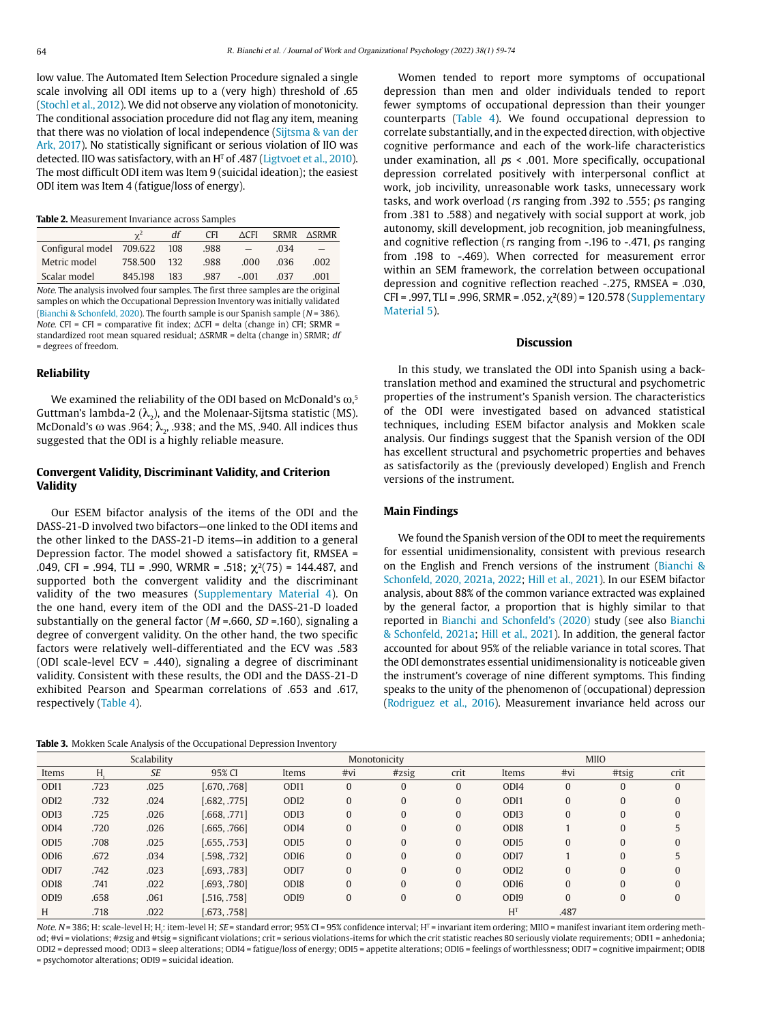low value. The Automated Item Selection Procedure signaled a single scale involving all ODI items up to a (very high) threshold of .65 (Stochl et al., 2012). We did not observe any violation of monotonicity. The conditional association procedure did not flag any item, meaning that there was no violation of local independence (Sijtsma & van der Ark, 2017). No statistically significant or serious violation of IIO was detected. IIO was satisfactory, with an H $\scriptstyle\rm T$  of .487 (Ligtvoet et al., 2010). The most difficult ODI item was Item 9 (suicidal ideation); the easiest ODI item was Item 4 (fatigue/loss of energy).

**Table 2.** Measurement Invariance across Samples

|                              | $\mathbf{v}^2$ | df  | <b>CFI</b> | ∆CFI    |      | SRMR ASRMR |
|------------------------------|----------------|-----|------------|---------|------|------------|
| Configural model 709,622 108 |                |     | .988       |         | .034 |            |
| Metric model                 | 758.500        | 132 | .988       | .000    | .036 | .002       |
| Scalar model                 | 845.198        | 183 | 987        | $-.001$ | .037 | .001       |

Note. The analysis involved four samples. The first three samples are the original samples on which the Occupational Depression Inventory was initially validated (Bianchi & Schonfeld, 2020). The fourth sample is our Spanish sample ( $N = 386$ ). Note. CFI = CFI = comparative fit index:  $\Delta$ CFI = delta (change in) CFI: SRMR = standardized root mean squared residual; ΔSRMR = delta (change in) SRMR; df = degrees of freedom.

#### **Reliability**

We examined the reliability of the ODI based on McDonald's  $\omega,^{\mathfrak s}$ Guttman's lambda-2 ( $\lambda$ <sub>2</sub>), and the Molenaar-Sijtsma statistic (MS). McDonald's  $\omega$  was .964;  $\lambda$ , .938; and the MS, .940. All indices thus suggested that the ODI is a highly reliable measure.

#### **Convergent Validity, Discriminant Validity, and Criterion Validity**

Our ESEM bifactor analysis of the items of the ODI and the DASS-21-D involved two bifactors—one linked to the ODI items and the other linked to the DASS-21-D items—in addition to a general Depression factor. The model showed a satisfactory fit, RMSEA = .049, CFI = .994, TLI = .990, WRMR = .518;  $\chi^2(75)$  = 144.487, and supported both the convergent validity and the discriminant validity of the two measures (Supplementary Material 4). On the one hand, every item of the ODI and the DASS-21-D loaded substantially on the general factor ( $M = .660$ ,  $SD = .160$ ), signaling a degree of convergent validity. On the other hand, the two specific factors were relatively well-differentiated and the ECV was .583 (ODI scale-level ECV = .440), signaling a degree of discriminant validity. Consistent with these results, the ODI and the DASS-21-D exhibited Pearson and Spearman correlations of .653 and .617, respectively (Table 4).

**Table 3.** Mokken Scale Analysis of the Occupational Depression Inventory

Women tended to report more symptoms of occupational depression than men and older individuals tended to report fewer symptoms of occupational depression than their younger counterparts (Table 4). We found occupational depression to correlate substantially, and in the expected direction, with objective cognitive performance and each of the work-life characteristics under examination, all  $ps < .001$ . More specifically, occupational depression correlated positively with interpersonal conflict at work, job incivility, unreasonable work tasks, unnecessary work tasks, and work overload (rs ranging from .392 to .555; ρs ranging from .381 to .588) and negatively with social support at work, job autonomy, skill development, job recognition, job meaningfulness, and cognitive reflection (rs ranging from -.196 to -.471, ρs ranging from .198 to -.469). When corrected for measurement error within an SEM framework, the correlation between occupational depression and cognitive reflection reached -.275, RMSEA = .030, CFI = .997, TLI = .996, SRMR = .052,  $\chi^2(89)$  = 120.578 (Supplementary Material 5).

#### **Discussion**

In this study, we translated the ODI into Spanish using a backtranslation method and examined the structural and psychometric properties of the instrument's Spanish version. The characteristics of the ODI were investigated based on advanced statistical techniques, including ESEM bifactor analysis and Mokken scale analysis. Our findings suggest that the Spanish version of the ODI has excellent structural and psychometric properties and behaves as satisfactorily as the (previously developed) English and French versions of the instrument.

#### **Main Findings**

We found the Spanish version of the ODI to meet the requirements for essential unidimensionality, consistent with previous research on the English and French versions of the instrument (Bianchi & Schonfeld, 2020, 2021a, 2022; Hill et al., 2021). In our ESEM bifactor analysis, about 88% of the common variance extracted was explained by the general factor, a proportion that is highly similar to that reported in Bianchi and Schonfeld's (2020) study (see also Bianchi & Schonfeld, 2021a; Hill et al., 2021). In addition, the general factor accounted for about 95% of the reliable variance in total scores. That the ODI demonstrates essential unidimensionality is noticeable given the instrument's coverage of nine different symptoms. This finding speaks to the unity of the phenomenon of (occupational) depression (Rodriguez et al., 2016). Measurement invariance held across our

| Scalability      |      |           |              | Monotonicity     |          |          |                |                  | <b>MIIO</b>  |              |              |
|------------------|------|-----------|--------------|------------------|----------|----------|----------------|------------------|--------------|--------------|--------------|
| Items            | Н.   | <b>SE</b> | 95% CI       | Items            | #vi      | #zsig    | crit           | Items            | #vi          | #tsig        | crit         |
| ODI1             | .723 | .025      | [.670, .768] | ODI1             | 0        | 0        | $\mathbf{0}$   | ODI4             | $\mathbf{0}$ | 0            | $\mathbf{0}$ |
| ODI <sub>2</sub> | .732 | .024      | [.682, .775] | ODI <sub>2</sub> | $\Omega$ | $\Omega$ | $\mathbf{0}$   | ODI1             | $\mathbf{0}$ | $\Omega$     | $\Omega$     |
| ODI <sub>3</sub> | .725 | .026      | [.668, .771] | OD <sub>I3</sub> | 0        | $\Omega$ | $\mathbf{0}$   | ODI3             | $\mathbf{0}$ | $\Omega$     | $\Omega$     |
| ODI <sub>4</sub> | .720 | .026      | [.665, .766] | ODI4             | $\Omega$ | $\Omega$ | $\Omega$       | ODI8             |              | $\Omega$     |              |
| OD <sub>I5</sub> | .708 | .025      | [.655, .753] | OD <sub>I5</sub> | 0        | 0        | $\Omega$       | OD <sub>I5</sub> | $\Omega$     | $\Omega$     | $\Omega$     |
| OD <sub>I6</sub> | .672 | .034      | [.598, .732] | OD <sub>I6</sub> | $\Omega$ | 0        | $\Omega$       | ODI <sub>7</sub> |              | $\Omega$     |              |
| ODI <sub>7</sub> | .742 | .023      | [.693, .783] | ODI7             | $\Omega$ | 0        | $\Omega$       | ODI <sub>2</sub> | $\Omega$     | $\Omega$     | $\mathbf{0}$ |
| OD <sub>18</sub> | .741 | .022      | [.693, .780] | OD <sub>I8</sub> | $\Omega$ | $\theta$ | $\overline{0}$ | OD <sub>I6</sub> | $\mathbf{0}$ | $\Omega$     | $\Omega$     |
| OD <sub>I9</sub> | .658 | .061      | [.516, .758] | OD <sub>I9</sub> | $\Omega$ | $\Omega$ | $\mathbf{0}$   | OD <sub>I9</sub> | $\mathbf{0}$ | $\mathbf{0}$ | $\mathbf{0}$ |
| H                | .718 | .022      | [.673, .758] |                  |          |          |                | H <sup>T</sup>   | .487         |              |              |

Note. N= 386; H: scale-level H; H<sub>i</sub>: item-level H; *SE* = standard error; 95% CI = 95% confidence interval; H<sup>T</sup> = invariant item ordering; MIIO = manifest invariant item ordering method; #vi = violations; #zsig and #tsig = significant violations; crit = serious violations-items for which the crit statistic reaches 80 seriously violate requirements; ODI1 = anhedonia; ODI2 = depressed mood; ODI3 = sleep alterations; ODI4 = fatigue/loss of energy; ODI5 = appetite alterations; ODI6 = feelings of worthlessness; ODI7 = cognitive impairment; ODI8 = psychomotor alterations; ODI9 = suicidal ideation.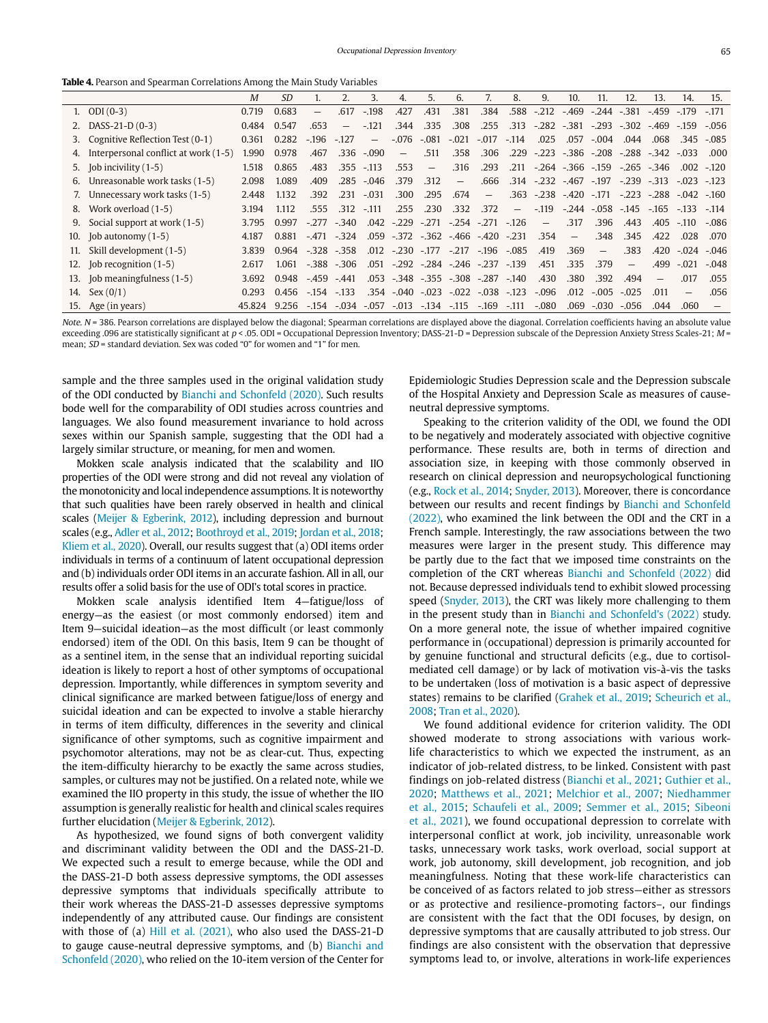**Table 4.** Pearson and Spearman Correlations Among the Main Study Variables

|                                      | M                                                                                                                                                                                                                                                                                                                                                        | <i>SD</i> |         |         | 3.                                               | 4.                                                                              | 5.                       | 6.      |                                    | 8.      | 9.                                                                                                                                                                             | 10.                                                                | 11.                      | 12.                                                        | 13.                      | 14.                                                                                                    | 15.                                                                                                     |
|--------------------------------------|----------------------------------------------------------------------------------------------------------------------------------------------------------------------------------------------------------------------------------------------------------------------------------------------------------------------------------------------------------|-----------|---------|---------|--------------------------------------------------|---------------------------------------------------------------------------------|--------------------------|---------|------------------------------------|---------|--------------------------------------------------------------------------------------------------------------------------------------------------------------------------------|--------------------------------------------------------------------|--------------------------|------------------------------------------------------------|--------------------------|--------------------------------------------------------------------------------------------------------|---------------------------------------------------------------------------------------------------------|
|                                      | 0.719                                                                                                                                                                                                                                                                                                                                                    | 0.683     | $-$     | .617    | $-198$                                           | .427                                                                            | .431                     | 381     | .384                               |         |                                                                                                                                                                                |                                                                    |                          | $-381$                                                     |                          | $-179$                                                                                                 | $-171$                                                                                                  |
|                                      | 0.484                                                                                                                                                                                                                                                                                                                                                    | 0.547     | .653    | $-$     | $-121$                                           | .344                                                                            | .335                     | .308    | .255                               | .313    |                                                                                                                                                                                |                                                                    |                          |                                                            |                          | $-159$                                                                                                 | $-056$                                                                                                  |
|                                      | 0.361                                                                                                                                                                                                                                                                                                                                                    | 0.282     | $-196$  | $-127$  | $\overline{\phantom{m}}$                         | $-.076$                                                                         | $-.081$                  | $-.021$ | $-.017$                            | $-114$  | .025                                                                                                                                                                           | .057                                                               | $-.004$                  | .044                                                       | .068                     | .345                                                                                                   | $-.085$                                                                                                 |
| Interpersonal conflict at work (1-5) | 1.990                                                                                                                                                                                                                                                                                                                                                    | 0.978     | .467    | .336    |                                                  | $\overline{\phantom{m}}$                                                        | .511                     | .358    | .306                               |         |                                                                                                                                                                                |                                                                    |                          |                                                            |                          | $-.033$                                                                                                | .000                                                                                                    |
|                                      | 1.518                                                                                                                                                                                                                                                                                                                                                    | 0.865     | .483    |         |                                                  | .553                                                                            | $\overline{\phantom{a}}$ | .316    | .293                               |         |                                                                                                                                                                                |                                                                    |                          |                                                            |                          |                                                                                                        | $.002 - 120$                                                                                            |
|                                      | 2.098                                                                                                                                                                                                                                                                                                                                                    | 1.089     | .409    | .285    |                                                  | .379                                                                            | .312                     |         | .666                               |         |                                                                                                                                                                                |                                                                    |                          |                                                            |                          | $-.023$                                                                                                | $-123$                                                                                                  |
|                                      | 2.448                                                                                                                                                                                                                                                                                                                                                    | 1.132     | .392    |         |                                                  | .300                                                                            | .295                     | .674    | $\overline{\phantom{m}}$           |         |                                                                                                                                                                                |                                                                    |                          |                                                            |                          |                                                                                                        |                                                                                                         |
|                                      | 3.194                                                                                                                                                                                                                                                                                                                                                    | 1.112     | .555    |         |                                                  | .255                                                                            | .230                     | .332    | .372                               |         | $-119$                                                                                                                                                                         |                                                                    |                          |                                                            |                          | $-133$                                                                                                 | $-114$                                                                                                  |
| Social support at work (1-5)         | 3.795                                                                                                                                                                                                                                                                                                                                                    | 0.997     | $-277$  | $-340$  |                                                  | $-229$                                                                          |                          |         |                                    |         | $\overline{\phantom{m}}$                                                                                                                                                       | .317                                                               | .396                     | .443                                                       |                          | $-.110$                                                                                                | $-.086$                                                                                                 |
|                                      | 4.187                                                                                                                                                                                                                                                                                                                                                    | 0.881     | $-.471$ | $-324$  |                                                  |                                                                                 |                          |         |                                    |         | .354                                                                                                                                                                           | $\qquad \qquad -$                                                  | .348                     | .345                                                       | .422                     | .028                                                                                                   | .070                                                                                                    |
| Skill development (1-5)              | 3.839                                                                                                                                                                                                                                                                                                                                                    | 0.964     |         |         |                                                  |                                                                                 |                          |         |                                    |         | .419                                                                                                                                                                           | .369                                                               | $\overline{\phantom{m}}$ | .383                                                       |                          | $-.024$                                                                                                | $-.046$                                                                                                 |
|                                      | 2.617                                                                                                                                                                                                                                                                                                                                                    | 1.061     |         |         | .051                                             |                                                                                 |                          |         |                                    |         | .451                                                                                                                                                                           | .335                                                               | .379                     | $\qquad \qquad -$                                          | .499                     | $-.021$                                                                                                | $-.048$                                                                                                 |
|                                      | 3.692                                                                                                                                                                                                                                                                                                                                                    | 0.948     | $-459$  | $-.441$ |                                                  |                                                                                 |                          |         |                                    | $-140$  | .430                                                                                                                                                                           | .380                                                               | .392                     | .494                                                       | $\overline{\phantom{0}}$ | .017                                                                                                   | .055                                                                                                    |
|                                      | 0.293                                                                                                                                                                                                                                                                                                                                                    |           |         |         |                                                  |                                                                                 |                          |         |                                    |         | $-.096$                                                                                                                                                                        | .012                                                               | $-.005$                  | $-.025$                                                    | .011                     | $\qquad \qquad -$                                                                                      | .056                                                                                                    |
|                                      | 45.824                                                                                                                                                                                                                                                                                                                                                   | 9.256     | $-154$  |         | $-057$                                           |                                                                                 |                          |         | $-169$                             | $-.111$ | $-.080$                                                                                                                                                                        | .069                                                               | $-.030$                  | $-.056$                                                    | .044                     | .060                                                                                                   |                                                                                                         |
| 4.<br>9.                             | 1. $ODI(0-3)$<br>2. DASS-21-D $(0-3)$<br>Cognitive Reflection Test (0-1)<br>3.<br>5. Job incivility $(1-5)$<br>Unreasonable work tasks (1-5)<br>6.<br>7. Unnecessary work tasks (1-5)<br>8. Work overload (1-5)<br>10. Job autonomy $(1-5)$<br>11.<br>12. Job recognition (1-5)<br>13. Job meaningfulness (1-5)<br>14. Sex $(0/1)$<br>15. Age (in years) |           |         | 0.456   | $-328 - 358$<br>$-.388-.306$<br>$-133$<br>$-154$ | $-.090$<br>$.355 - .113$<br>$-.046$<br>$.231 - .031$<br>$.312 - .111$<br>$-034$ | .042                     |         | $-.271$<br>$-.013$ $-.134$ $-.115$ |         | $-.254$ $-.271$ $-.126$<br>$.059 - 372 - 362 - 466 - 420 - 231$<br>$-292 - 284 - 246 - 237 - 139$<br>.053 -.348 -.355 -.308 -.287<br>$.354 - .040 - .023 - .022 - .038 - .123$ | $.588 - .212$<br>$ -$<br>$.012 - .230 - .177 - .217 - .196 - .085$ | $-469$<br>$-282 - 381$   | $.314 - .232 - .467 - .197$<br>$.363 - .238 - .420 - .171$ | $-244$<br>$-293 - 302$   | $-459$<br>$.211 - .264 - .366 - .159 - .265 - .346$<br>$-239 - 313$<br>$-.244$ $-.058$ $-.145$<br>.405 | -.469<br>$.229 - .223 - .386 - .208 - .288 - .342$<br>$-.223$ $-.288$ $-.042$ $-.160$<br>$-165$<br>.420 |

Note. N = 386. Pearson correlations are displayed below the diagonal; Spearman correlations are displayed above the diagonal. Correlation coefficients having an absolute value exceeding .096 are statistically significant at p < .05. ODI = Occupational Depression Inventory; DASS-21-D = Depression subscale of the Depression Anxiety Stress Scales-21; M = mean; SD = standard deviation. Sex was coded "0" for women and "1" for men.

sample and the three samples used in the original validation study of the ODI conducted by Bianchi and Schonfeld (2020). Such results bode well for the comparability of ODI studies across countries and languages. We also found measurement invariance to hold across sexes within our Spanish sample, suggesting that the ODI had a largely similar structure, or meaning, for men and women.

Mokken scale analysis indicated that the scalability and IIO properties of the ODI were strong and did not reveal any violation of the monotonicity and local independence assumptions. It is noteworthy that such qualities have been rarely observed in health and clinical scales (Meijer & Egberink, 2012), including depression and burnout scales (e.g., Adler et al., 2012; Boothroyd et al., 2019; Jordan et al., 2018; Kliem et al., 2020). Overall, our results suggest that (a) ODI items order individuals in terms of a continuum of latent occupational depression and (b) individuals order ODI items in an accurate fashion. All in all, our results offer a solid basis for the use of ODI's total scores in practice.

Mokken scale analysis identified Item 4—fatigue/loss of energy—as the easiest (or most commonly endorsed) item and Item 9—suicidal ideation—as the most difficult (or least commonly endorsed) item of the ODI. On this basis, Item 9 can be thought of as a sentinel item, in the sense that an individual reporting suicidal ideation is likely to report a host of other symptoms of occupational depression. Importantly, while differences in symptom severity and clinical significance are marked between fatigue/loss of energy and suicidal ideation and can be expected to involve a stable hierarchy in terms of item difficulty, differences in the severity and clinical significance of other symptoms, such as cognitive impairment and psychomotor alterations, may not be as clear-cut. Thus, expecting the item-difficulty hierarchy to be exactly the same across studies, samples, or cultures may not be justified. On a related note, while we examined the IIO property in this study, the issue of whether the IIO assumption is generally realistic for health and clinical scales requires further elucidation (Meijer & Egberink, 2012).

As hypothesized, we found signs of both convergent validity and discriminant validity between the ODI and the DASS-21-D. We expected such a result to emerge because, while the ODI and the DASS-21-D both assess depressive symptoms, the ODI assesses depressive symptoms that individuals specifically attribute to their work whereas the DASS-21-D assesses depressive symptoms independently of any attributed cause. Our findings are consistent with those of (a) Hill et al. (2021), who also used the DASS-21-D to gauge cause-neutral depressive symptoms, and (b) Bianchi and Schonfeld (2020), who relied on the 10-item version of the Center for

Epidemiologic Studies Depression scale and the Depression subscale of the Hospital Anxiety and Depression Scale as measures of causeneutral depressive symptoms.

Speaking to the criterion validity of the ODI, we found the ODI to be negatively and moderately associated with objective cognitive performance. These results are, both in terms of direction and association size, in keeping with those commonly observed in research on clinical depression and neuropsychological functioning (e.g., Rock et al., 2014; Snyder, 2013). Moreover, there is concordance between our results and recent findings by Bianchi and Schonfeld (2022), who examined the link between the ODI and the CRT in a French sample. Interestingly, the raw associations between the two measures were larger in the present study. This difference may be partly due to the fact that we imposed time constraints on the completion of the CRT whereas Bianchi and Schonfeld (2022) did not. Because depressed individuals tend to exhibit slowed processing speed (Snyder, 2013), the CRT was likely more challenging to them in the present study than in Bianchi and Schonfeld's (2022) study. On a more general note, the issue of whether impaired cognitive performance in (occupational) depression is primarily accounted for by genuine functional and structural deficits (e.g., due to cortisolmediated cell damage) or by lack of motivation vis-à-vis the tasks to be undertaken (loss of motivation is a basic aspect of depressive states) remains to be clarified (Grahek et al., 2019; Scheurich et al., 2008; Tran et al., 2020).

We found additional evidence for criterion validity. The ODI showed moderate to strong associations with various worklife characteristics to which we expected the instrument, as an indicator of job-related distress, to be linked. Consistent with past findings on job-related distress (Bianchi et al., 2021; Guthier et al., 2020; Matthews et al., 2021; Melchior et al., 2007; Niedhammer et al., 2015; Schaufeli et al., 2009; Semmer et al., 2015; Sibeoni et al., 2021), we found occupational depression to correlate with interpersonal conflict at work, job incivility, unreasonable work tasks, unnecessary work tasks, work overload, social support at work, job autonomy, skill development, job recognition, and job meaningfulness. Noting that these work-life characteristics can be conceived of as factors related to job stress—either as stressors or as protective and resilience-promoting factors–, our findings are consistent with the fact that the ODI focuses, by design, on depressive symptoms that are causally attributed to job stress. Our findings are also consistent with the observation that depressive symptoms lead to, or involve, alterations in work-life experiences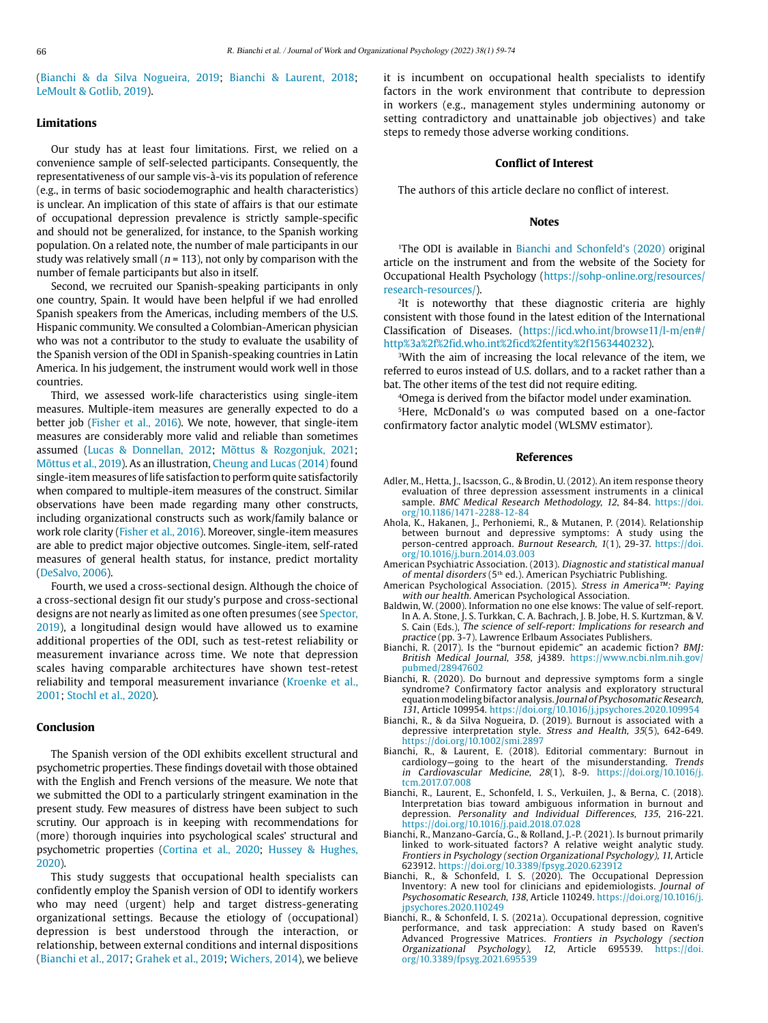(Bianchi & da Silva Nogueira, 2019; Bianchi & Laurent, 2018; LeMoult & Gotlib, 2019).

#### **Limitations**

Our study has at least four limitations. First, we relied on a convenience sample of self-selected participants. Consequently, the representativeness of our sample vis-à-vis its population of reference (e.g., in terms of basic sociodemographic and health characteristics) is unclear. An implication of this state of affairs is that our estimate of occupational depression prevalence is strictly sample-specific and should not be generalized, for instance, to the Spanish working population. On a related note, the number of male participants in our study was relatively small ( $n = 113$ ), not only by comparison with the number of female participants but also in itself.

Second, we recruited our Spanish-speaking participants in only one country, Spain. It would have been helpful if we had enrolled Spanish speakers from the Americas, including members of the U.S. Hispanic community. We consulted a Colombian-American physician who was not a contributor to the study to evaluate the usability of the Spanish version of the ODI in Spanish-speaking countries in Latin America. In his judgement, the instrument would work well in those countries.

Third, we assessed work-life characteristics using single-item measures. Multiple-item measures are generally expected to do a better job (Fisher et al., 2016). We note, however, that single-item measures are considerably more valid and reliable than sometimes assumed (Lucas & Donnellan, 2012; Mõttus & Rozgonjuk, 2021; Mõttus et al., 2019). As an illustration, Cheung and Lucas (2014) found single-item measures of life satisfaction to perform quite satisfactorily when compared to multiple-item measures of the construct. Similar observations have been made regarding many other constructs, including organizational constructs such as work/family balance or work role clarity (Fisher et al., 2016). Moreover, single-item measures are able to predict major objective outcomes. Single-item, self-rated measures of general health status, for instance, predict mortality (DeSalvo, 2006).

Fourth, we used a cross-sectional design. Although the choice of a cross-sectional design fit our study's purpose and cross-sectional designs are not nearly as limited as one often presumes (see Spector, 2019), a longitudinal design would have allowed us to examine additional properties of the ODI, such as test-retest reliability or measurement invariance across time. We note that depression scales having comparable architectures have shown test-retest reliability and temporal measurement invariance (Kroenke et al., 2001; Stochl et al., 2020).

#### **Conclusion**

The Spanish version of the ODI exhibits excellent structural and psychometric properties. These findings dovetail with those obtained with the English and French versions of the measure. We note that we submitted the ODI to a particularly stringent examination in the present study. Few measures of distress have been subject to such scrutiny. Our approach is in keeping with recommendations for (more) thorough inquiries into psychological scales' structural and psychometric properties (Cortina et al., 2020; Hussey & Hughes, 2020).

This study suggests that occupational health specialists can confidently employ the Spanish version of ODI to identify workers who may need (urgent) help and target distress-generating organizational settings. Because the etiology of (occupational) depression is best understood through the interaction, or relationship, between external conditions and internal dispositions (Bianchi et al., 2017; Grahek et al., 2019; Wichers, 2014), we believe

it is incumbent on occupational health specialists to identify factors in the work environment that contribute to depression in workers (e.g., management styles undermining autonomy or setting contradictory and unattainable job objectives) and take steps to remedy those adverse working conditions.

#### **Conflict of Interest**

The authors of this article declare no conflict of interest.

#### **Notes**

<sup>1</sup>The ODI is available in Bianchi and Schonfeld's (2020) original article on the instrument and from the website of the Society for Occupational Health Psychology ([https://sohp-online.org/resources/](https://sohp-online.org/resources/research-resources/) [research-resources/](https://sohp-online.org/resources/research-resources/)).

<sup>2</sup>It is noteworthy that these diagnostic criteria are highly consistent with those found in the latest edition of the International Classification of Diseases. (https://icd.who.int/browse11/l-m/en#/ http%3a%2f%2fid.who.int%2ficd%2fentity%2f1563440232).

<sup>3</sup>With the aim of increasing the local relevance of the item, we referred to euros instead of U.S. dollars, and to a racket rather than a bat. The other items of the test did not require editing.

4Omega is derived from the bifactor model under examination.

5Here, McDonald's ω was computed based on a one-factor confirmatory factor analytic model (WLSMV estimator).

#### **References**

- Adler, M., Hetta, J., Isacsson, G., & Brodin, U. (2012). An item response theory evaluation of three depression assessment instruments in a clinical sample. BMC Medical Research Methodology, 12, 84-84. [https://doi.](https://doi.org/10.1186/1471-2288-12-84) [org/10.1186/1471-2288-12-84](https://doi.org/10.1186/1471-2288-12-84)
- Ahola, K., Hakanen, J., Perhoniemi, R., & Mutanen, P. (2014). Relationship between burnout and depressive symptoms: A study using the person-centred approach. Burnout Research, 1(1), 29-37. [https://doi.](https://doi.org/10.1016/j.burn.2014.03.003) [org/10.1016/j.burn.2014.03.003](https://doi.org/10.1016/j.burn.2014.03.003)
- American Psychiatric Association. (2013). Diagnostic and statistical manual of mental disorders (5<sup>th</sup> ed.). American Psychiatric Publishing.
- American Psychological Association. (2015). *Stress in America™: Paying* with our health. American Psychological Association.
- Baldwin, W. (2000). Information no one else knows: The value of self-report. In A. A. Stone, J. S. Turkkan, C. A. Bachrach, J. B. Jobe, H. S. Kurtzman, & V. S. Cain (Eds.), The science of self-report: Implications for research and practice (pp. 3-7). Lawrence Erlbaum Associates Publishers.
- Bianchi, R. (2017). Is the "burnout epidemic" an academic fiction? BMJ: British Medical Journal, 358, j4389. [https://www.ncbi.nlm.nih.gov/](https://www.ncbi.nlm.nih.gov/pubmed/28947602) [pubmed/28947602](https://www.ncbi.nlm.nih.gov/pubmed/28947602)
- Bianchi, R. (2020). Do burnout and depressive symptoms form a single syndrome? Confirmatory factor analysis and exploratory structural equation modeling bifactor analysis. Journal of Psychosomatic Research, 131, Article 109954. <https://doi.org/10.1016/j.jpsychores.2020.109954>
- Bianchi, R., & da Silva Nogueira, D. (2019). Burnout is associated with a depressive interpretation style. Stress and Health, 35(5), 642-649. <https://doi.org/10.1002/smi.2897>
- Bianchi, R., & Laurent, E. (2018). Editorial commentary: Burnout in cardiology—going to the heart of the misunderstanding. Trends in Cardiovascular Medicine, 28(1), 8-9. [https://doi.org/10.1016/j.](https://doi.org/10.1016/j.tcm.2017.07.008) [tcm.2017.07.008](https://doi.org/10.1016/j.tcm.2017.07.008)
- Bianchi, R., Laurent, E., Schonfeld, I. S., Verkuilen, J., & Berna, C. (2018). Interpretation bias toward ambiguous information in burnout and depression. Personality and Individual Differences, 135, 216-221. <https://doi.org/10.1016/j.paid.2018.07.028>
- Bianchi, R., Manzano-García, G., & Rolland, J.-P. (2021). Is burnout primarily linked to work-situated factors? A relative weight analytic study. Frontiers in Psychology (section Organizational Psychology), 11, Article 623912. <https://doi.org/10.3389/fpsyg.2020.623912>
- Bianchi, R., & Schonfeld, I. S. (2020). The Occupational Depression Inventory: A new tool for clinicians and epidemiologists. Journal of Psychosomatic Research, 138, Article 110249. [https://doi.org/10.1016/j.](https://doi.org/10.1016/j.jpsychores.2020.110249) [jpsychores.2020.110249](https://doi.org/10.1016/j.jpsychores.2020.110249)
- Bianchi, R., & Schonfeld, I. S. (2021a). Occupational depression, cognitive performance, and task appreciation: A study based on Raven's Advanced Progressive Matrices. Frontiers in Psychology (section Organizational Psychology), 12, Article 695539. [https://doi.](https://doi.org/10.3389/fpsyg.2021.695539) [org/10.3389/fpsyg.2021.695539](https://doi.org/10.3389/fpsyg.2021.695539)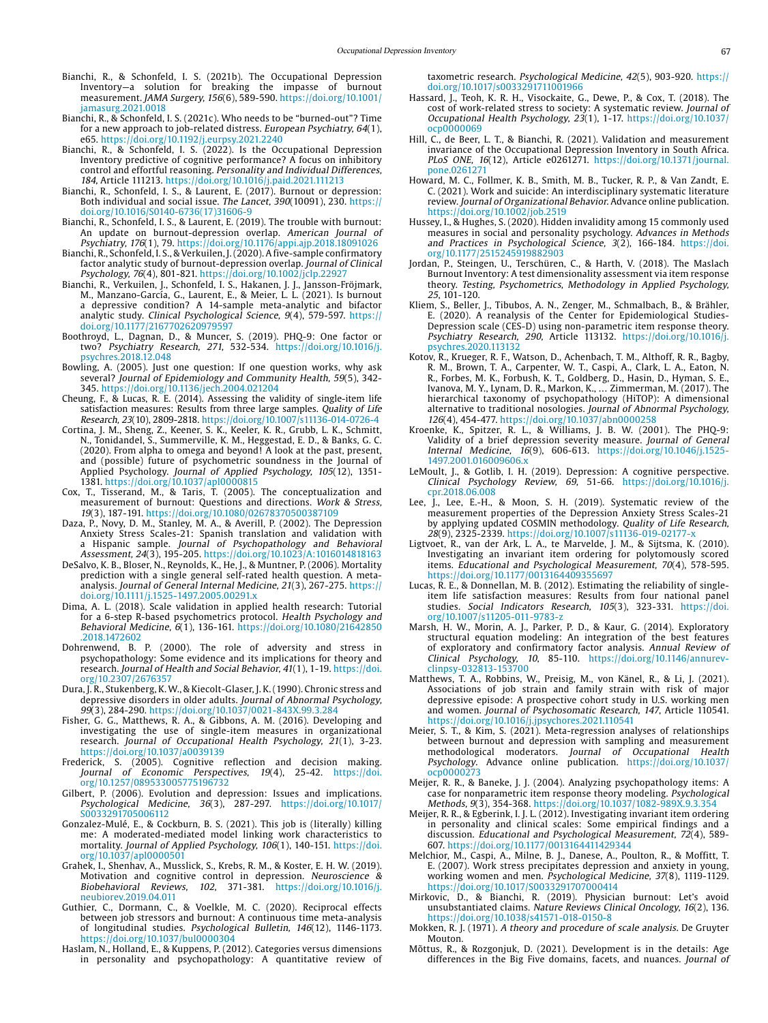- Bianchi, R., & Schonfeld, I. S. (2021b). The Occupational Depression Inventory—a solution for breaking the impasse of burnout measurement. JAMA Surgery, 156(6), 589-590. [https://doi.org/10.1001/](https://doi.org/10.1001/jamasurg.2021.0018) [jamasurg.2021.0018](https://doi.org/10.1001/jamasurg.2021.0018)
- Bianchi, R., & Schonfeld, I. S. (2021c). Who needs to be "burned-out"? Time for a new approach to job-related distress. European Psychiatry, 64(1), e65.<https://doi.org/10.1192/j.eurpsy.2021.2240>
- Bianchi, R., & Schonfeld, I. S. (2022). Is the Occupational Depression Inventory predictive of cognitive performance? A focus on inhibitory control and effortful reasoning. Personality and Individual Differences, 184, Article 111213.<https://doi.org/10.1016/j.paid.2021.111213>
- Bianchi, R., Schonfeld, I. S., & Laurent, E. (2017). Burnout or depression: Both individual and social issue. The Lancet, 390(10091), 230. [https://](https://doi.org/10.1016/S0140-6736(17)31606-9) [doi.org/10.1016/S0140-6736\(17\)31606-9](https://doi.org/10.1016/S0140-6736(17)31606-9)
- Bianchi, R., Schonfeld, I. S., & Laurent, E. (2019). The trouble with burnout: An update on burnout-depression overlap. American Journal of Psychiatry, 176(1), 79.<https://doi.org/10.1176/appi.ajp.2018.18091026>
- Bianchi, R., Schonfeld, I. S., & Verkuilen, J. (2020). A five-sample confirmatory factor analytic study of burnout-depression overlap. Journal of Clinical Psychology, 76(4), 801-821. <https://doi.org/10.1002/jclp.22927>
- Bianchi, R., Verkuilen, J., Schonfeld, I. S., Hakanen, J. J., Jansson-Fröjmark, M., Manzano-García, G., Laurent, E., & Meier, L. L. (2021). Is burnout a depressive condition? A 14-sample meta-analytic and bifactor analytic study. Clinical Psychological Science, 9(4), 579-597. [https://](https://doi.org/10.1177/2167702620979597) [doi.org/10.1177/2167702620979597](https://doi.org/10.1177/2167702620979597)
- Boothroyd, L., Dagnan, D., & Muncer, S. (2019). PHQ-9: One factor or two? Psychiatry Research, 271, 532-534. [https://doi.org/10.1016/j.](https://doi.org/10.1016/j.psychres.2018.12.048) [psychres.2018.12.048](https://doi.org/10.1016/j.psychres.2018.12.048)
- Bowling, A. (2005). Just one question: If one question works, why ask several? Journal of Epidemiology and Community Health, 59(5), 342-345. <https://doi.org/10.1136/jech.2004.021204>
- Cheung, F., & Lucas, R. E. (2014). Assessing the validity of single-item life satisfaction measures: Results from three large samples. Quality of Life Research, 23(10), 2809-2818. <https://doi.org/10.1007/s11136-014-0726-4>
- Cortina, J. M., Sheng, Z., Keener, S. K., Keeler, K. R., Grubb, L. K., Schmitt, N., Tonidandel, S., Summerville, K. M., Heggestad, E. D., & Banks, G. C. (2020). From alpha to omega and beyond! A look at the past, present, and (possible) future of psychometric soundness in the Journal of Applied Psychology. Journal of Applied Psychology, 105(12), 1351- 1381.<https://doi.org/10.1037/apl0000815>
- Cox, T., Tisserand, M., & Taris, T. (2005). The conceptualization and measurement of burnout: Questions and directions. Work & Stress, 19(3), 187-191.<https://doi.org/10.1080/02678370500387109>
- Daza, P., Novy, D. M., Stanley, M. A., & Averill, P. (2002). The Depression Anxiety Stress Scales-21: Spanish translation and validation with a Hispanic sample. Journal of Psychopathology and Behavioral Assessment, 24(3), 195-205.<https://doi.org/10.1023/A:1016014818163>
- DeSalvo, K. B., Bloser, N., Reynolds, K., He, J., & Muntner, P. (2006). Mortality prediction with a single general self-rated health question. A metaanalysis. Journal of General Internal Medicine, 21(3), 267-275. [https://](https://doi.org/10.1111/j.1525-1497.2005.00291.x) [doi.org/10.1111/j.1525-1497.2005.00291.x](https://doi.org/10.1111/j.1525-1497.2005.00291.x)
- Dima, A. L. (2018). Scale validation in applied health research: Tutorial for a 6-step R-based psychometrics protocol. Health Psychology and Behavioral Medicine, 6(1), 136-161. [https://doi.org/10.1080/21642850](https://doi.org/10.1080/21642850.2018.1472602) [.2018.1472602](https://doi.org/10.1080/21642850.2018.1472602)
- Dohrenwend, B. P. (2000). The role of adversity and stress in psychopathology: Some evidence and its implications for theory and research. Journal of Health and Social Behavior, 41(1), 1-19. [https://doi.](https://doi.org/10.2307/2676357) [org/10.2307/2676357](https://doi.org/10.2307/2676357)
- Dura, J. R., Stukenberg, K. W., & Kiecolt-Glaser, J. K. (1990). Chronic stress and depressive disorders in older adults. Journal of Abnormal Psychology, 99(3), 284-290. <https://doi.org/10.1037/0021-843X.99.3.284>
- Fisher, G. G., Matthews, R. A., & Gibbons, A. M. (2016). Developing and investigating the use of single-item measures in organizational research. Journal of Occupational Health Psychology, 21(1), 3-23. <https://doi.org/10.1037/a0039139>
- Frederick, S. (2005). Cognitive reflection and decision making. Journal of Economic Perspectives, 19(4), 25-42. [https://doi.](https://doi.org/10.1257/089533005775196732) [org/10.1257/089533005775196732](https://doi.org/10.1257/089533005775196732)
- Gilbert, P. (2006). Evolution and depression: Issues and implications. Psychological Medicine, 36(3), 287-297. [https://doi.org/10.1017/](https://doi.org/10.1017/S0033291705006112) [S0033291705006112](https://doi.org/10.1017/S0033291705006112)
- Gonzalez-Mulé, E., & Cockburn, B. S. (2021). This job is (literally) killing me: A moderated-mediated model linking work characteristics to mortality. Journal of Applied Psychology, 106(1), 140-151. [https://doi.](https://doi.org/10.1037/apl0000501) [org/10.1037/apl0000501](https://doi.org/10.1037/apl0000501)
- Grahek, I., Shenhav, A., Musslick, S., Krebs, R. M., & Koster, E. H. W. (2019). Motivation and cognitive control in depression. Neuroscience & Biobehavioral Reviews, 102, 371-381. [https://doi.org/10.1016/j.](https://doi.org/10.1016/j.neubiorev.2019.04.011) [neubiorev.2019.04.011](https://doi.org/10.1016/j.neubiorev.2019.04.011)
- Guthier, C., Dormann, C., & Voelkle, M. C. (2020). Reciprocal effects between job stressors and burnout: A continuous time meta-analysis of longitudinal studies. Psychological Bulletin, 146(12), 1146-1173. <https://doi.org/10.1037/bul0000304>
- Haslam, N., Holland, E., & Kuppens, P. (2012). Categories versus dimensions in personality and psychopathology: A quantitative review of

taxometric research. Psychological Medicine, 42(5), 903-920. [https://](https://doi.org/10.1017/s0033291711001966) [doi.org/10.1017/s0033291711001966](https://doi.org/10.1017/s0033291711001966)

- Hassard, J., Teoh, K. R. H., Visockaite, G., Dewe, P., & Cox, T. (2018). The cost of work-related stress to society: A systematic review. Journal of Occupational Health Psychology, 23(1), 1-17. [https://doi.org/10.1037/](https://doi.org/10.1037/ocp0000069) [ocp0000069](https://doi.org/10.1037/ocp0000069)
- Hill, C., de Beer, L. T., & Bianchi, R. (2021). Validation and measurement invariance of the Occupational Depression Inventory in South Africa. PLoS ONE, 16(12), Article e0261271. [https://doi.org/10.1371/journal.](https://doi.org/10.1371/journal.pone.0261271) [pone.0261271](https://doi.org/10.1371/journal.pone.0261271)
- Howard, M. C., Follmer, K. B., Smith, M. B., Tucker, R. P., & Van Zandt, E. C. (2021). Work and suicide: An interdisciplinary systematic literature review. Journal of Organizational Behavior. Advance online publication. <https://doi.org/10.1002/job.2519>
- Hussey, I., & Hughes, S. (2020). Hidden invalidity among 15 commonly used measures in social and personality psychology. Advances in Methods and Practices in Psychological Science, 3(2), 166-184. [https://doi.](https://doi.org/10.1177/2515245919882903) [org/10.1177/2515245919882903](https://doi.org/10.1177/2515245919882903)
- Jordan, P., Steingen, U., Terschüren, C., & Harth, V. (2018). The Maslach Burnout Inventory: A test dimensionality assessment via item response theory. Testing, Psychometrics, Methodology in Applied Psychology, 25, 101-120.
- Kliem, S., Beller, J., Tibubos, A. N., Zenger, M., Schmalbach, B., & Brähler, E. (2020). A reanalysis of the Center for Epidemiological Studies-Depression scale (CES-D) using non-parametric item response theory. Psychiatry Research, 290, Article 113132. [https://doi.org/10.1016/j.](https://doi.org/10.1016/j.psychres.2020.113132) psychres.2020.11313
- Kotov, R., Krueger, R. F., Watson, D., Achenbach, T. M., Althoff, R. R., Bagby, R. M., Brown, T. A., Carpenter, W. T., Caspi, A., Clark, L. A., Eaton, N. R., Forbes, M. K., Forbush, K. T., Goldberg, D., Hasin, D., Hyman, S. E., Ivanova, M. Y., Lynam, D. R., Markon, K., … Zimmerman, M. (2017). The hierarchical taxonomy of psychopathology (HiTOP): A dimensional alternative to traditional nosologies. Journal of Abnormal Psychology, 126(4), 454-477. <https://doi.org/10.1037/abn0000258>
- Kroenke, K., Spitzer, R. L., & Williams, J. B. W. (2001). The PHQ-9: Validity of a brief depression severity measure. Journal of General Internal Medicine, 16(9), 606-613. [https://doi.org/10.1046/j.1525-](https://doi.org/10.1046/j.1525-1497.2001.016009606.x) [1497.2001.016009606.x](https://doi.org/10.1046/j.1525-1497.2001.016009606.x)
- LeMoult, J., & Gotlib, I. H. (2019). Depression: A cognitive perspective. Clinical Psychology Review, 69, 51-66. [https://doi.org/10.1016/j.](https://doi.org/10.1016/j.cpr.2018.06.008) [cpr.2018.06.008](https://doi.org/10.1016/j.cpr.2018.06.008)
- Lee, J., Lee, E.-H., & Moon, S. H. (2019). Systematic review of the measurement properties of the Depression Anxiety Stress Scales-21 by applying updated COSMIN methodology. Quality of Life Research, 28(9), 2325-2339.<https://doi.org/10.1007/s11136-019-02177-x>
- Ligtvoet, R., van der Ark, L. A., te Marvelde, J. M., & Sijtsma, K. (2010). Investigating an invariant item ordering for polytomously scored items. Educational and Psychological Measurement, 70(4), 578-595. <https://doi.org/10.1177/0013164409355697>
- Lucas, R. E., & Donnellan, M. B. (2012). Estimating the reliability of singleitem life satisfaction measures: Results from four national panel studies. Social Indicators Research, 105(3), 323-331. [https://doi.](https://doi.org/10.1007/s11205-011-9783-z) [org/10.1007/s11205-011-9783-z](https://doi.org/10.1007/s11205-011-9783-z)
- Marsh, H. W., Morin, A. J., Parker, P. D., & Kaur, G. (2014). Exploratory structural equation modeling: An integration of the best features of exploratory and confirmatory factor analysis. Annual Review of Clinical Psychology, 10, 85-110. [https://doi.org/10.1146/annurev](https://doi.org/10.1146/annurev-clinpsy-032813-153700)[clinpsy-032813-153700](https://doi.org/10.1146/annurev-clinpsy-032813-153700)
- Matthews, T. A., Robbins, W., Preisig, M., von Känel, R., & Li, J. (2021). Associations of job strain and family strain with risk of major depressive episode: A prospective cohort study in U.S. working men and women. Journal of Psychosomatic Research, 147, Article 110541. <https://doi.org/10.1016/j.jpsychores.2021.110541>
- Meier, S. T., & Kim, S. (2021). Meta-regression analyses of relationships between burnout and depression with sampling and measurement methodological moderators. Journal of Occupational Health Psychology. Advance online publication. [https://doi.org/10.1037/](https://doi.org/10.1037/ocp0000273) [ocp0000273](https://doi.org/10.1037/ocp0000273)
- Meijer, R. R., & Baneke, J. J. (2004). Analyzing psychopathology items: A case for nonparametric item response theory modeling. Psychological Methods, 9(3), 354-368. https://doi.org/10.1037/1082-989X.9.3.35
- Meijer, R. R., & Egberink, I. J. L. (2012). Investigating invariant item ordering in personality and clinical scales: Some empirical findings and a discussion. Educational and Psychological Measurement, 72(4), 589- 607. <https://doi.org/10.1177/0013164411429344>
- Melchior, M., Caspi, A., Milne, B. J., Danese, A., Poulton, R., & Moffitt, T. E. (2007). Work stress precipitates depression and anxiety in young, working women and men. Psychological Medicine, 37(8), 1119-1129. <https://doi.org/10.1017/S0033291707000414>
- Mirkovic, D., & Bianchi, R. (2019). Physician burnout: Let's avoid unsubstantiated claims. Nature Reviews Clinical Oncology, 16(2), 136. <https://doi.org/10.1038/s41571-018-0150-8>
- Mokken, R. J. (1971). A theory and procedure of scale analysis. De Gruyter Mouton.
- Mõttus, R., & Rozgonjuk, D. (2021). Development is in the details: Age differences in the Big Five domains, facets, and nuances. Journal of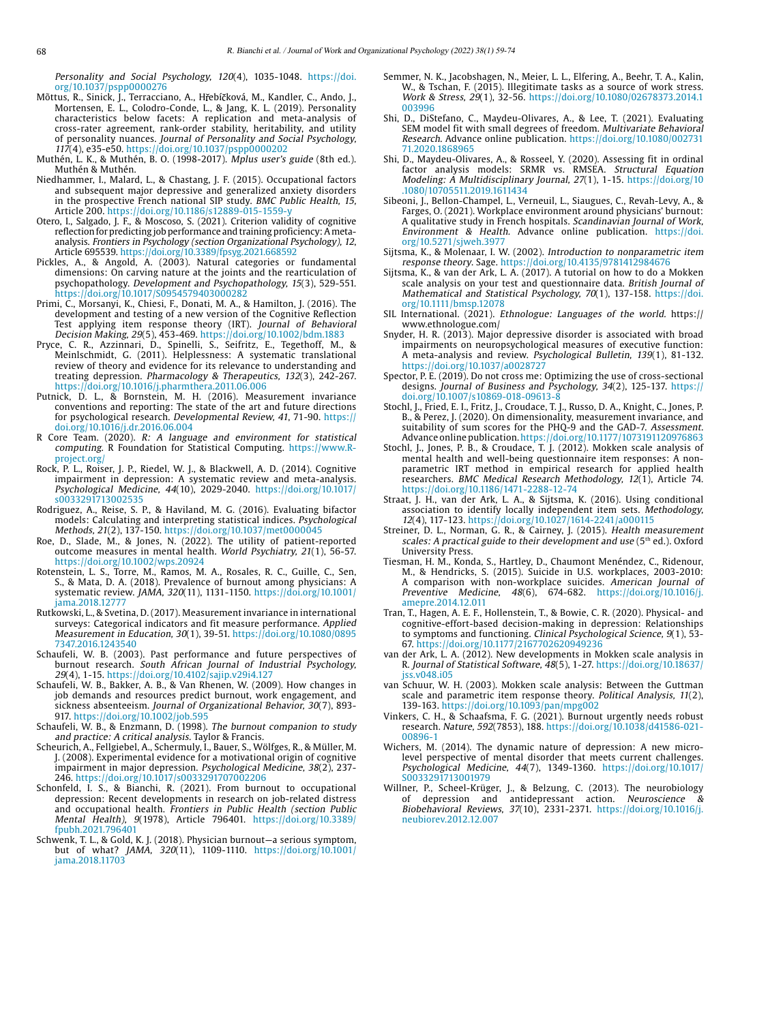Personality and Social Psychology, 120(4), 1035-1048. [https://doi.](https://doi.org/10.1037/pspp0000276) [org/10.1037/pspp0000276](https://doi.org/10.1037/pspp0000276)

- Mõttus, R., Sinick, J., Terracciano, A., Hřebíčková, M., Kandler, C., Ando, J. Mortensen, E. L., Colodro-Conde, L., & Jang, K. L. (2019). Personality characteristics below facets: A replication and meta-analysis of cross-rater agreement, rank-order stability, heritability, and utility of personality nuances. Journal of Personality and Social Psychology, 117(4), e35-e50. <https://doi.org/10.1037/pspp0000202>
- Muthén, L. K., & Muthén, B. O. (1998-2017). Mplus user's guide (8th ed.). Muthén & Muthén.
- Niedhammer, I., Malard, L., & Chastang, J. F. (2015). Occupational factors and subsequent major depressive and generalized anxiety disorders in the prospective French national SIP study. BMC Public Health, 15, Article 200.<https://doi.org/10.1186/s12889-015-1559-y>
- Otero, I., Salgado, J. F., & Moscoso, S. (2021). Criterion validity of cognitive reflection for predicting job performance and training proficiency: A metaanalysis. Frontiers in Psychology (section Organizational Psychology), 12, Article 695539.<https://doi.org/10.3389/fpsyg.2021.668592>
- Pickles, A., & Angold, A. (2003). Natural categories or fundamental dimensions: On carving nature at the joints and the rearticulation of psychopathology. Development and Psychopathology, 15(3), 529-551. https://doi.org/10.1017/S095457940300028
- Primi, C., Morsanyi, K., Chiesi, F., Donati, M. A., & Hamilton, J. (2016). The development and testing of a new version of the Cognitive Reflection Test applying item response theory (IRT). Journal of Behavioral
- Decision Making, 29(5), 453-469.<https://doi.org/10.1002/bdm.1883> Pryce, C. R., Azzinnari, D., Spinelli, S., Seifritz, E., Tegethoff, M., & Meinlschmidt, G. (2011). Helplessness: A systematic translational review of theory and evidence for its relevance to understanding and treating depression. Pharmacology & Therapeutics, 132(3), 242-267. https://doi.org/[10.1016/j.pharmthera.2011.06.006](http://dx.doi.org/10.1016/j.pharmthera.2011.06.006)
- Putnick, D. L., & Bornstein, M. H. (2016). Measurement invariance conventions and reporting: The state of the art and future directions for psychological research. Developmental Review, 41, 71-90. [https://](https://doi.org/10.1016/j.dr.2016.06.004) [doi.org/10.1016/j.dr.2016.06.004](https://doi.org/10.1016/j.dr.2016.06.004)
- R Core Team. (2020). R: A language and environment for statistical computing. R Foundation for Statistical Computing. [https://www.R](https://www.R-project.org/)[project.org/](https://www.R-project.org/)
- Rock, P. L., Roiser, J. P., Riedel, W. J., & Blackwell, A. D. (2014). Cognitive impairment in depression: A systematic review and meta-analysis. Psychological Medicine, 44(10), 2029-2040. [https://doi.org/10.1017/](https://doi.org/10.1017/s0033291713002535) [s0033291713002535](https://doi.org/10.1017/s0033291713002535)
- Rodriguez, A., Reise, S. P., & Haviland, M. G. (2016). Evaluating bifactor models: Calculating and interpreting statistical indices. Psychological Methods, 21(2), 137-150.<https://doi.org/10.1037/met0000045>
- Roe, D., Slade, M., & Jones, N. (2022). The utility of patient-reported outcome measures in mental health. World Psychiatry, 21(1), 56-57. <https://doi.org/10.1002/wps.20924>
- Rotenstein, L. S., Torre, M., Ramos, M. A., Rosales, R. C., Guille, C., Sen, S., & Mata, D. A. (2018). Prevalence of burnout among physicians: A systematic review. JAMA, 320(11), 1131-1150. [https://doi.org/10.1001/](https://doi.org/10.1001/jama.2018.12777) [jama.2018.12777](https://doi.org/10.1001/jama.2018.12777)
- Rutkowski, L., & Svetina, D. (2017). Measurement invariance in international surveys: Categorical indicators and fit measure performance. Applied Measurement in Education, 30(1), 39-51. [https://doi.org/10.1080/0895](https://doi.org/10.1080/08957347.2016.1243540) [7347.2016.1243540](https://doi.org/10.1080/08957347.2016.1243540)
- Schaufeli, W. B. (2003). Past performance and future perspectives of burnout research. *South African Journal of Industrial Psychology,*<br>29(4), 1-15. <https://doi.org/10.4102/sajip.v29i4.127>
- Schaufeli, W. B., Bakker, A. B., & Van Rhenen, W. (2009). How changes in job demands and resources predict burnout, work engagement, and sickness absenteeism. Journal of Organizational Behavior, 30(7), 893-917.<https://doi.org/10.1002/job.595>
- Schaufeli, W. B., & Enzmann, D. (1998). The burnout companion to study and practice: A critical analysis. Taylor & Francis.
- Scheurich, A., Fellgiebel, A., Schermuly, I., Bauer, S., Wölfges, R., & Müller, M. J. (2008). Experimental evidence for a motivational origin of cognitive impairment in major depression. Psychological Medicine, 38(2), 237-246. <https://doi.org/10.1017/s0033291707002206>
- Schonfeld, I. S., & Bianchi, R. (2021). From burnout to occupational depression: Recent developments in research on job-related distress and occupational health. Frontiers in Public Health (section Public Mental Health), 9(1978), Article 796401. [https://doi.org/10.3389/](https://doi.org/10.3389/fpubh.2021.796401) [fpubh.2021.796401](https://doi.org/10.3389/fpubh.2021.796401)
- Schwenk, T. L., & Gold, K. J. (2018). Physician burnout—a serious symptom, but of what? JAMA, 320(11), 1109-1110. [https://doi.org/10.1001/](https://doi.org/10.1001/jama.2018.11703) [jama.2018.11703](https://doi.org/10.1001/jama.2018.11703)
- Semmer, N. K., Jacobshagen, N., Meier, L. L., Elfering, A., Beehr, T. A., Kalin, W., & Tschan, F. (2015). Illegitimate tasks as a source of work stress. Work & Stress, 29(1), 32-56. [https://doi.org/10.1080/02678373.2014.1](https://doi.org/10.1080/02678373.2014.1003996) [003996](https://doi.org/10.1080/02678373.2014.1003996)
- Shi, D., DiStefano, C., Maydeu-Olivares, A., & Lee, T. (2021). Evaluating SEM model fit with small degrees of freedom. Multivariate Behavioral Research. Advance online publication. [https://doi.org/10.1080/002731](https://doi.org/10.1080/00273171.2020.1868965) [71.2020.1868965](https://doi.org/10.1080/00273171.2020.1868965)
- Shi, D., Maydeu-Olivares, A., & Rosseel, Y. (2020). Assessing fit in ordinal factor analysis models: SRMR vs. RMSEA. Structural Equation Modeling: A Multidisciplinary Journal, 27(1), 1-15. [https://doi.org/10](https://doi.org/10.1080/10705511.2019.1611434) [.1080/10705511.2019.1611434](https://doi.org/10.1080/10705511.2019.1611434)
- Sibeoni, J., Bellon-Champel, L., Verneuil, L., Siaugues, C., Revah-Levy, A., & Farges, O. (2021). Workplace environment around physicians' burnout: A qualitative study in French hospitals. Scandinavian Journal of Work, Environment & Health. Advance online publication. [https://doi.](https://doi.org/10.5271/sjweh.3977) [org/10.5271/sjweh.3977](https://doi.org/10.5271/sjweh.3977)
- Sijtsma, K., & Molenaar, I. W. (2002). Introduction to nonparametric item response theory. Sage.<https://doi.org/10.4135/9781412984676>
- Sijtsma, K., & van der Ark, L. A. (2017). A tutorial on how to do a Mokken scale analysis on your test and questionnaire data. British Journal of Mathematical and Statistical Psychology, 70(1), 137-158. [https://doi.](https://doi.org/10.1111/bmsp.12078) [org/10.1111/bmsp.12078](https://doi.org/10.1111/bmsp.12078)
- SIL International. (2021). Ethnologue: Languages of the world. [https://](https://www.ethnologue.com/) [www.ethnologue.com/](https://www.ethnologue.com/)
- Snyder, H. R. (2013). Major depressive disorder is associated with broad impairments on neuropsychological measures of executive function: A meta-analysis and review. Psychological Bulletin, 139(1), 81-132. <https://doi.org/10.1037/a0028727>
- Spector, P. E. (2019). Do not cross me: Optimizing the use of cross-sectional designs. Journal of Business and Psychology, 34(2), 125-137. [https://](https://doi.org/10.1007/s10869-018-09613-8) [doi.org/10.1007/s10869-018-09613-8](https://doi.org/10.1007/s10869-018-09613-8)
- Stochl, J., Fried, E. I., Fritz, J., Croudace, T. J., Russo, D. A., Knight, C., Jones, P. B., & Perez, J. (2020). On dimensionality, measurement invariance, and suitability of sum scores for the PHQ-9 and the GAD-7. Assessment. Advance online publication.<https://doi.org/10.1177/1073191120976863>
- Stochl, J., Jones, P. B., & Croudace, T. J. (2012). Mokken scale analysis of mental health and well-being questionnaire item responses: A nonparametric IRT method in empirical research for applied health researchers. BMC Medical Research Methodology, 12(1), Article 74. <https://doi.org/10.1186/1471-2288-12-74>
- Straat, J. H., van der Ark, L. A., & Sijtsma, K. (2016). Using conditional association to identify locally independent item sets. Methodology, 12(4), 117-123.<https://doi.org/10.1027/1614-2241/a000115>
- Streiner, D. L., Norman, G. R., & Cairney, J. (2015). Health measurement scales: A practical guide to their development and use (5<sup>th</sup> ed.). Oxford University Press.
- Tiesman, H. M., Konda, S., Hartley, D., Chaumont Menéndez, C., Ridenour, M., & Hendricks, S. (2015). Suicide in U.S. workplaces, 2003-2010: A comparison with non-workplace suicides. American Journal of Preventive Medicine, 48(6), 674-682. [https://doi.org/10.1016/j.](https://doi.org/10.1016/j.amepre.2014.12.011) [amepre.2014.12.011](https://doi.org/10.1016/j.amepre.2014.12.011)
- Tran, T., Hagen, A. E. F., Hollenstein, T., & Bowie, C. R. (2020). Physical- and cognitive-effort-based decision-making in depression: Relationships to symptoms and functioning. Clinical Psychological Science, 9(1), 53- 67. <https://doi.org/10.1177/2167702620949236>
- van der Ark, L. A. (2012). New developments in Mokken scale analysis in R. Journal of Statistical Software, 48(5), 1-27. [https://doi.org/10.18637/](https://doi.org/10.18637/jss.v048.i05) [jss.v048.i05](https://doi.org/10.18637/jss.v048.i05)
- van Schuur, W. H. (2003). Mokken scale analysis: Between the Guttman scale and parametric item response theory. Political Analysis, 11(2), 139-163. <https://doi.org/10.1093/pan/mpg002>
- Vinkers, C. H., & Schaafsma, F. G. (2021). Burnout urgently needs robust research. Nature, 592(7853), 188. [https://doi.org/10.1038/d41586-021-](https://doi.org/10.1038/d41586-021-00896-1) [00896-1](https://doi.org/10.1038/d41586-021-00896-1)
- Wichers, M. (2014). The dynamic nature of depression: A new microlevel perspective of mental disorder that meets current challenges. Psychological Medicine, 44(7), 1349-1360. [https://doi.org/10.1017/](https://doi.org/10.1017/S0033291713001979) [S0033291713001979](https://doi.org/10.1017/S0033291713001979)
- Willner, P., Scheel-Krüger, J., & Belzung, C. (2013). The neurobiology of depression and antidepressant action. Neuroscience & of depression and antidepressant action. Neuroscience & Biobehavioral Reviews, 37(10), 2331-2371. https://doi.org[/10.1016/j.](http://dx.doi.org/10.1016/j.neubiorev.2012.12.007) [neubiorev.2012.12.007](http://dx.doi.org/10.1016/j.neubiorev.2012.12.007)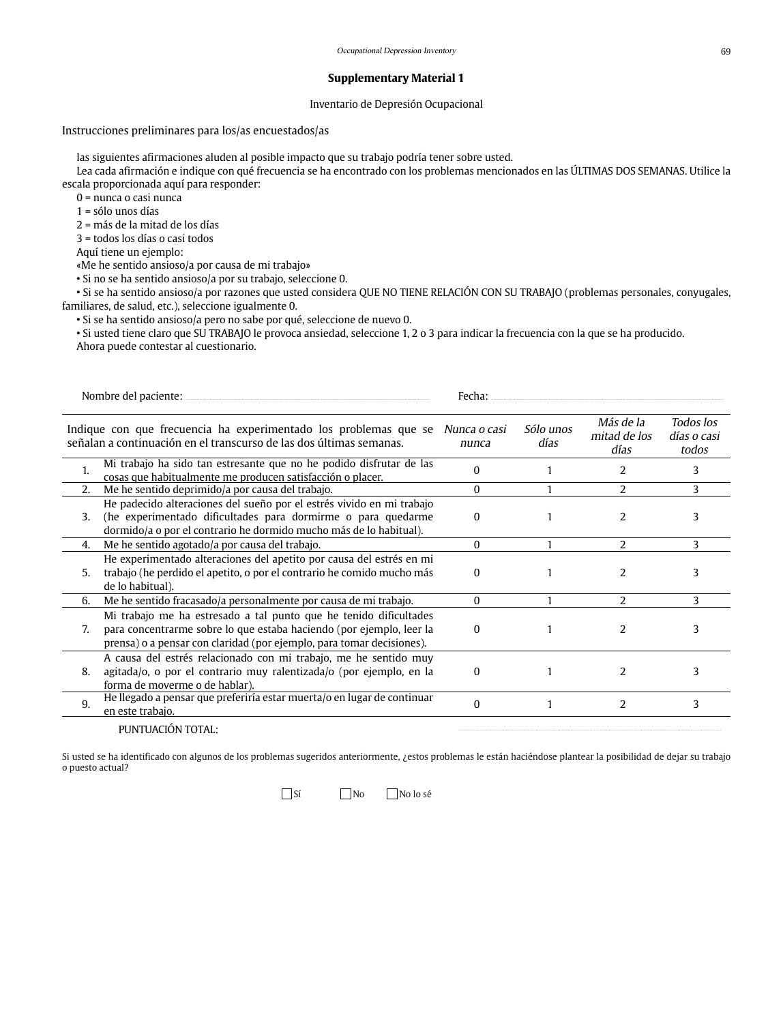Inventario de Depresión Ocupacional

# Instrucciones preliminares para los/as encuestados/as

las siguientes afirmaciones aluden al posible impacto que su trabajo podría tener sobre usted.

Lea cada afirmación e indique con qué frecuencia se ha encontrado con los problemas mencionados en las ÚLTIMAS DOS SEMANAS. Utilice la escala proporcionada aquí para responder:

0 = nunca o casi nunca

1 = sólo unos días

2 = más de la mitad de los días

3 = todos los días o casi todos

Aquí tiene un ejemplo:

«Me he sentido ansioso/a por causa de mi trabajo»

• Si no se ha sentido ansioso/a por su trabajo, seleccione 0.

• Si se ha sentido ansioso/a por razones que usted considera QUE NO TIENE RELACIÓN CON SU TRABAJO (problemas personales, conyugales, familiares, de salud, etc.), seleccione igualmente 0.

• Si se ha sentido ansioso/a pero no sabe por qué, seleccione de nuevo 0.

• Si usted tiene claro que SU TRABAJO le provoca ansiedad, seleccione 1, 2 o 3 para indicar la frecuencia con la que se ha producido. Ahora puede contestar al cuestionario.

|    | Nombre del paciente:                                                                                                                                                                                               | Fecha:                |                   |                                   |                                   |
|----|--------------------------------------------------------------------------------------------------------------------------------------------------------------------------------------------------------------------|-----------------------|-------------------|-----------------------------------|-----------------------------------|
|    | Indique con que frecuencia ha experimentado los problemas que se<br>señalan a continuación en el transcurso de las dos últimas semanas.                                                                            | Nunca o casi<br>nunca | Sólo unos<br>días | Más de la<br>mitad de los<br>días | Todos los<br>días o casi<br>todos |
| 1. | Mi trabajo ha sido tan estresante que no he podido disfrutar de las<br>cosas que habitualmente me producen satisfacción o placer.                                                                                  | $\Omega$              |                   | 2                                 | 3                                 |
| 2. | Me he sentido deprimido/a por causa del trabajo.                                                                                                                                                                   | $\Omega$              |                   | 2                                 | 3                                 |
| 3. | He padecido alteraciones del sueño por el estrés vivido en mi trabajo<br>(he experimentado dificultades para dormirme o para quedarme<br>dormido/a o por el contrario he dormido mucho más de lo habitual).        | 0                     |                   | 2                                 | 3                                 |
| 4. | Me he sentido agotado/a por causa del trabajo.                                                                                                                                                                     | 0                     |                   | $\overline{\mathcal{L}}$          | 3                                 |
| 5. | He experimentado alteraciones del apetito por causa del estrés en mi<br>trabajo (he perdido el apetito, o por el contrario he comido mucho más<br>de lo habitual).                                                 | 0                     |                   | 2                                 | 3                                 |
| 6. | Me he sentido fracasado/a personalmente por causa de mi trabajo.                                                                                                                                                   | 0                     |                   | 2                                 | 3                                 |
| 7. | Mi trabajo me ha estresado a tal punto que he tenido dificultades<br>para concentrarme sobre lo que estaba haciendo (por ejemplo, leer la<br>prensa) o a pensar con claridad (por ejemplo, para tomar decisiones). | 0                     |                   | 2                                 | 3                                 |
| 8. | A causa del estrés relacionado con mi trabajo, me he sentido muy<br>agitada/o, o por el contrario muy ralentizada/o (por ejemplo, en la<br>forma de moverme o de hablar).                                          | 0                     |                   | 2                                 | 3                                 |
| 9. | He llegado a pensar que preferiría estar muerta/o en lugar de continuar<br>en este trabajo.                                                                                                                        | 0                     |                   | 2                                 | 3                                 |
|    | PUNTUACIÓN TOTAL:                                                                                                                                                                                                  |                       |                   |                                   |                                   |

Si usted se ha identificado con algunos de los problemas sugeridos anteriormente, ¿estos problemas le están haciéndose plantear la posibilidad de dejar su trabajo o puesto actual?

Sí No No lo sé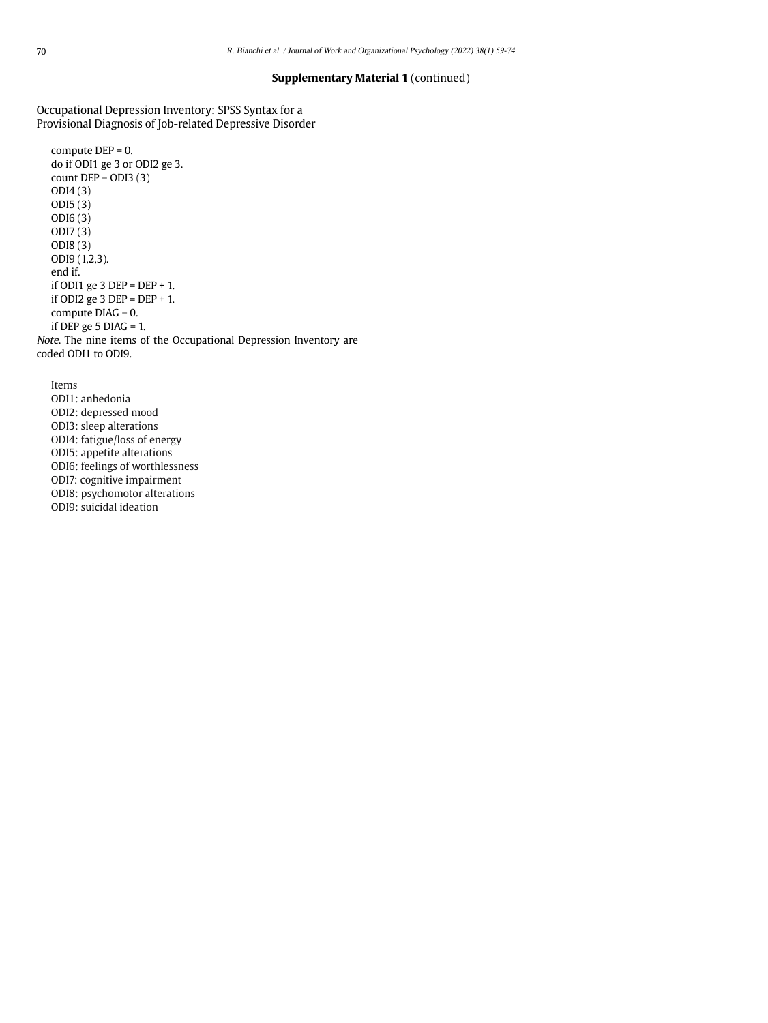#### **Supplementary Material 1** (continued)

Occupational Depression Inventory: SPSS Syntax for a Provisional Diagnosis of Job-related Depressive Disorder

```
compute DEP = 0.
   do if ODI1 ge 3 or ODI2 ge 3.
   count DEP = ODI3(3)ODI4 (3)
   ODI5 (3)
   ODI6 (3)
   ODI7 (3)
   ODI8 (3)
   ODI9 (1,2,3).
   end if.
   if ODI1 ge 3 DEP = DEP + 1.
   if ODI2 ge 3 DEP = DEP + 1.
   compute DIAG = 0.
   if DEP ge 5 DIAG = 1.
Note. The nine items of the Occupational Depression Inventory are 
coded ODI1 to ODI9.
```
Items ODI1: anhedonia ODI2: depressed mood ODI3: sleep alterations ODI4: fatigue/loss of energy ODI5: appetite alterations ODI6: feelings of worthlessness ODI7: cognitive impairment ODI8: psychomotor alterations ODI9: suicidal ideation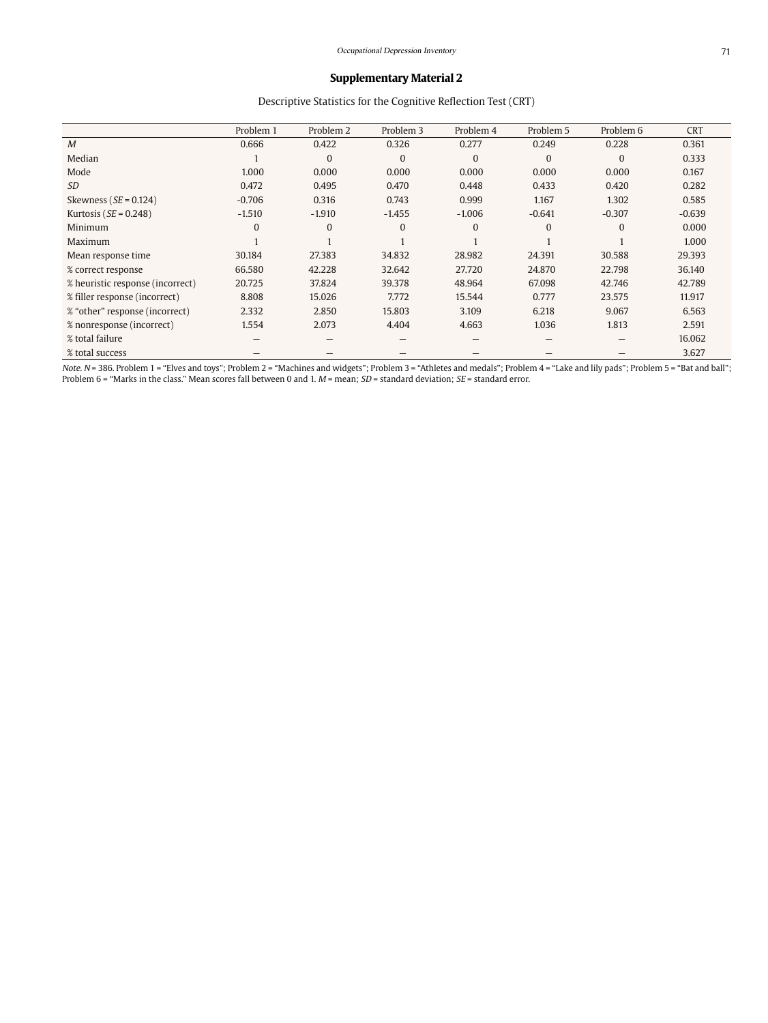# Descriptive Statistics for the Cognitive Reflection Test (CRT)

|                                  | Problem 1 | Problem 2 | Problem 3    | Problem 4      | Problem 5    | Problem 6      | <b>CRT</b> |
|----------------------------------|-----------|-----------|--------------|----------------|--------------|----------------|------------|
| M                                | 0.666     | 0.422     | 0.326        | 0.277          | 0.249        | 0.228          | 0.361      |
| Median                           |           | $\Omega$  | $\mathbf{0}$ | $\overline{0}$ | $\mathbf{0}$ | $\overline{0}$ | 0.333      |
| Mode                             | 1.000     | 0.000     | 0.000        | 0.000          | 0.000        | 0.000          | 0.167      |
| <b>SD</b>                        | 0.472     | 0.495     | 0.470        | 0.448          | 0.433        | 0.420          | 0.282      |
| Skewness ( $SE = 0.124$ )        | $-0.706$  | 0.316     | 0.743        | 0.999          | 1.167        | 1.302          | 0.585      |
| Kurtosis ( $SE = 0.248$ )        | $-1.510$  | $-1.910$  | $-1.455$     | $-1.006$       | $-0.641$     | $-0.307$       | $-0.639$   |
| Minimum                          | $\Omega$  | $\Omega$  | $\mathbf{0}$ | $\overline{0}$ | $\mathbf{0}$ | $\mathbf{0}$   | 0.000      |
| Maximum                          |           |           |              |                |              |                | 1.000      |
| Mean response time               | 30.184    | 27.383    | 34.832       | 28.982         | 24.391       | 30.588         | 29.393     |
| % correct response               | 66.580    | 42.228    | 32.642       | 27.720         | 24.870       | 22.798         | 36.140     |
| % heuristic response (incorrect) | 20.725    | 37.824    | 39.378       | 48.964         | 67.098       | 42.746         | 42.789     |
| % filler response (incorrect)    | 8.808     | 15.026    | 7.772        | 15.544         | 0.777        | 23.575         | 11.917     |
| % "other" response (incorrect)   | 2.332     | 2.850     | 15.803       | 3.109          | 6.218        | 9.067          | 6.563      |
| % nonresponse (incorrect)        | 1.554     | 2.073     | 4.404        | 4.663          | 1.036        | 1.813          | 2.591      |
| % total failure                  |           |           |              |                |              |                | 16.062     |
| % total success                  |           |           |              |                |              |                | 3.627      |

Note. N = 386. Problem 1 = "Elves and toys"; Problem 2 = "Machines and widgets"; Problem 3 = "Athletes and medals"; Problem 4 = "Lake and lily pads"; Problem 5 = "Bat and ball"; Problem 6 = "Marks in the class." Mean scores fall between 0 and 1.  $M$  = mean;  $SD$  = standard deviation;  $SE$  = standard error.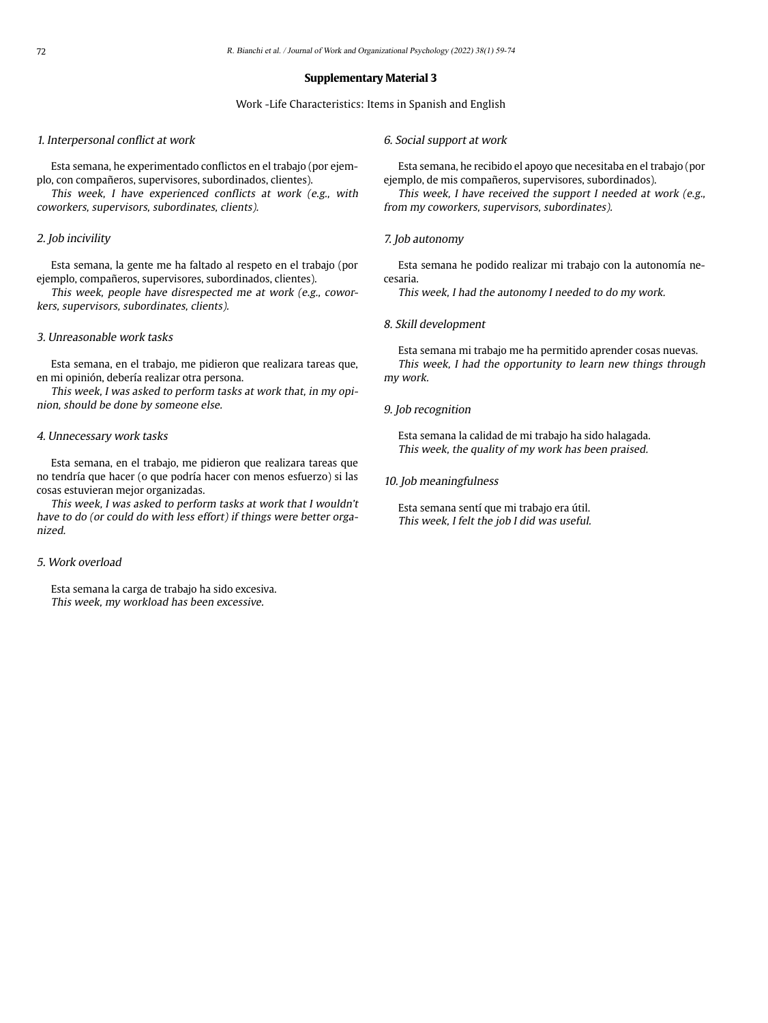#### Work -Life Characteristics: Items in Spanish and English

#### 1. Interpersonal conflict at work

Esta semana, he experimentado conflictos en el trabajo (por ejemplo, con compañeros, supervisores, subordinados, clientes).

This week, I have experienced conflicts at work (e.g., with coworkers, supervisors, subordinates, clients).

#### 2. Job incivility

Esta semana, la gente me ha faltado al respeto en el trabajo (por ejemplo, compañeros, supervisores, subordinados, clientes).

This week, people have disrespected me at work (e.g., coworkers, supervisors, subordinates, clients).

#### 3. Unreasonable work tasks

Esta semana, en el trabajo, me pidieron que realizara tareas que, en mi opinión, debería realizar otra persona.

This week, I was asked to perform tasks at work that, in my opinion, should be done by someone else.

# 4. Unnecessary work tasks

Esta semana, en el trabajo, me pidieron que realizara tareas que no tendría que hacer (o que podría hacer con menos esfuerzo) si las cosas estuvieran mejor organizadas.

This week, I was asked to perform tasks at work that I wouldn't have to do (or could do with less effort) if things were better organized.

#### 5. Work overload

Esta semana la carga de trabajo ha sido excesiva. This week, my workload has been excessive.

#### 6. Social support at work

Esta semana, he recibido el apoyo que necesitaba en el trabajo (por ejemplo, de mis compañeros, supervisores, subordinados).

This week, I have received the support I needed at work (e.g., from my coworkers, supervisors, subordinates).

#### 7. Job autonomy

Esta semana he podido realizar mi trabajo con la autonomía necesaria.

This week, I had the autonomy I needed to do my work.

#### 8. Skill development

Esta semana mi trabajo me ha permitido aprender cosas nuevas. This week, I had the opportunity to learn new things through my work.

#### 9. Job recognition

Esta semana la calidad de mi trabajo ha sido halagada. This week, the quality of my work has been praised.

#### 10. Job meaningfulness

Esta semana sentí que mi trabajo era útil. This week, I felt the job I did was useful.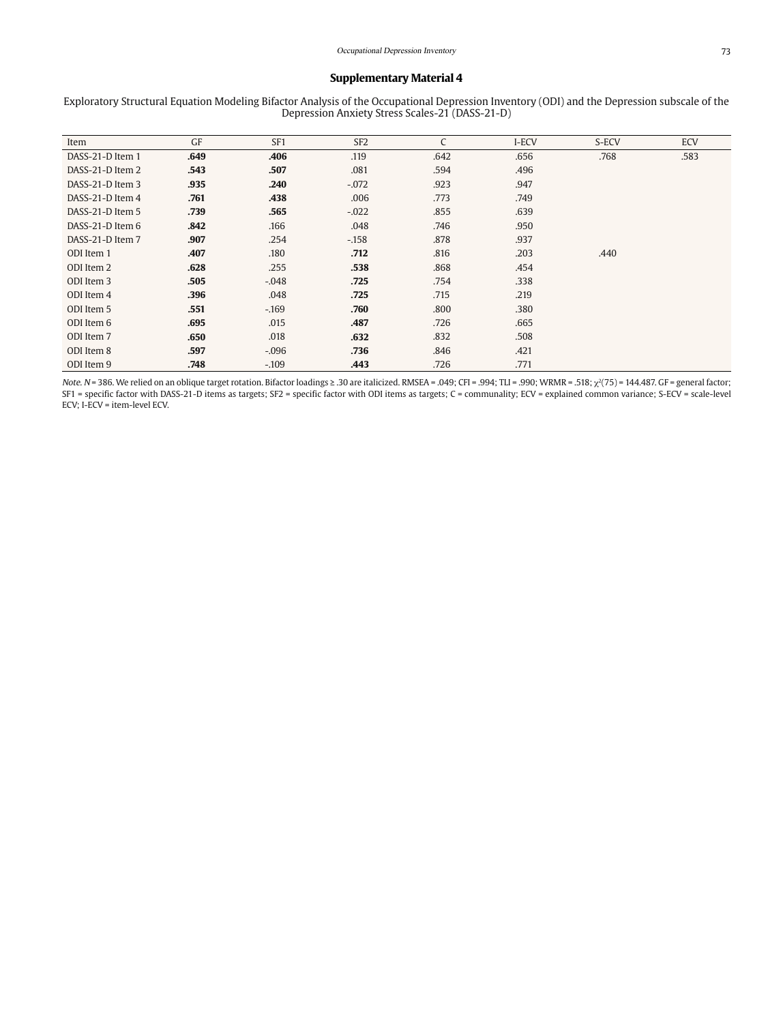Exploratory Structural Equation Modeling Bifactor Analysis of the Occupational Depression Inventory (ODI) and the Depression subscale of the Depression Anxiety Stress Scales-21 (DASS-21-D)

| Item             | GF   | SF <sub>1</sub> | SF <sub>2</sub> | C    | I-ECV | S-ECV | ECV  |
|------------------|------|-----------------|-----------------|------|-------|-------|------|
| DASS-21-D Item 1 | .649 | .406            | .119            | .642 | .656  | .768  | .583 |
| DASS-21-D Item 2 | .543 | .507            | .081            | .594 | .496  |       |      |
| DASS-21-D Item 3 | .935 | .240            | $-.072$         | .923 | .947  |       |      |
| DASS-21-D Item 4 | .761 | .438            | .006            | .773 | .749  |       |      |
| DASS-21-D Item 5 | .739 | .565            | $-.022$         | .855 | .639  |       |      |
| DASS-21-D Item 6 | .842 | .166            | .048            | .746 | .950  |       |      |
| DASS-21-D Item 7 | .907 | .254            | $-.158$         | .878 | .937  |       |      |
| ODI Item 1       | .407 | .180            | .712            | .816 | .203  | .440  |      |
| ODI Item 2       | .628 | .255            | .538            | .868 | .454  |       |      |
| ODI Item 3       | .505 | $-.048$         | .725            | .754 | .338  |       |      |
| ODI Item 4       | .396 | .048            | .725            | .715 | .219  |       |      |
| ODI Item 5       | .551 | $-169$          | .760            | .800 | .380  |       |      |
| ODI Item 6       | .695 | .015            | .487            | .726 | .665  |       |      |
| ODI Item 7       | .650 | .018            | .632            | .832 | .508  |       |      |
| ODI Item 8       | .597 | $-.096$         | .736            | .846 | .421  |       |      |
| ODI Item 9       | .748 | $-.109$         | .443            | .726 | .771  |       |      |

Note. N= 386. We relied on an oblique target rotation. Bifactor loadings ≥ .30 are italicized. RMSEA = .049; CFI = .994; TLI = .990; WRMR = .518;  $\chi^2(75)$  = 144.487. GF = general factor; SF1 = specific factor with DASS-21-D items as targets; SF2 = specific factor with ODI items as targets; C = communality; ECV = explained common variance; S-ECV = scale-level ECV; I-ECV = item-level ECV.